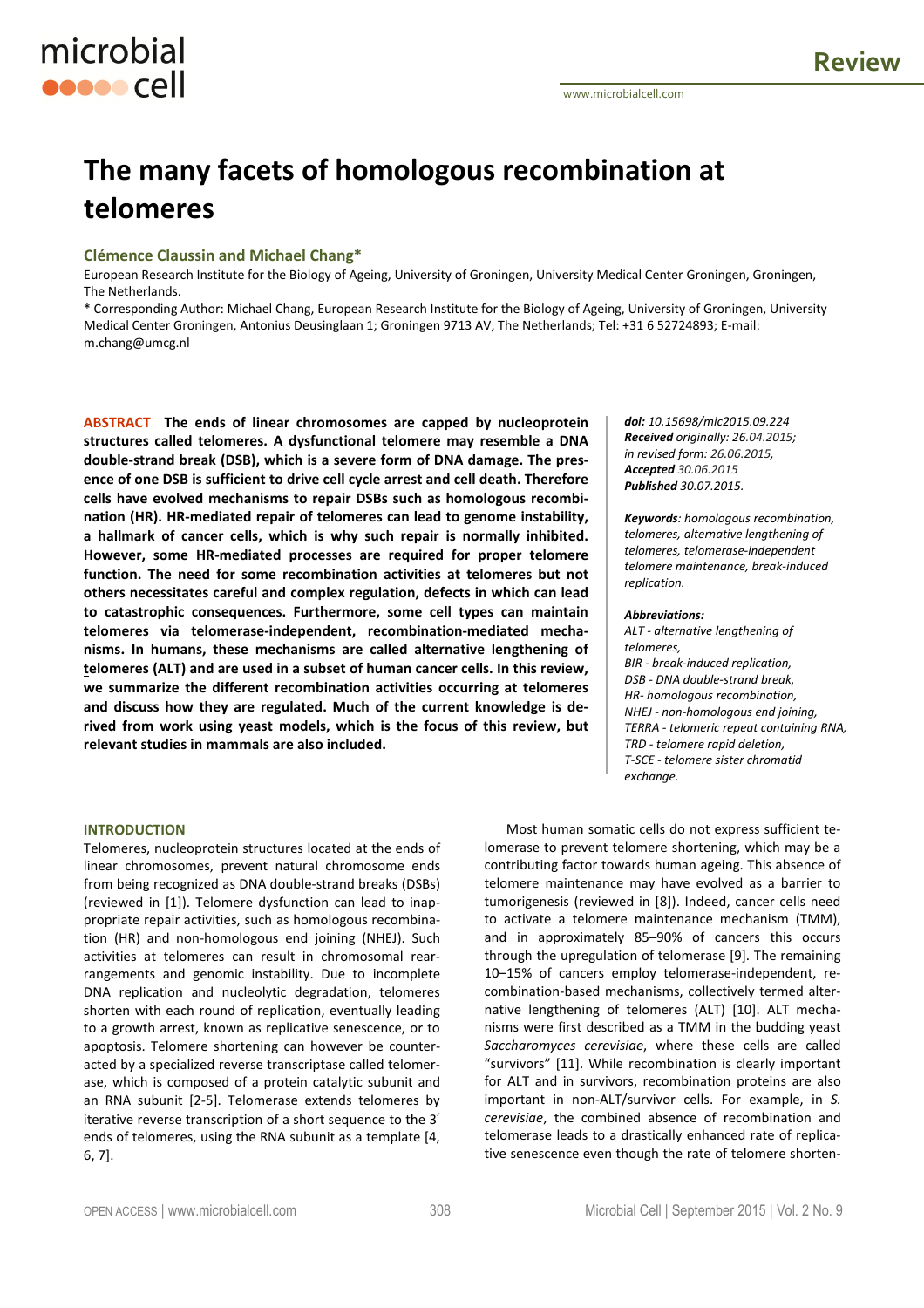# **The many facets of homologous recombination at telomeres**

# **Clémence Claussin and Michael Chang\***

microbial

**OOOOO** Cell

European Research Institute for the Biology of Ageing, University of Groningen, University Medical Center Groningen, Groningen, The Netherlands.

\* Corresponding Author: Michael Chang, European Research Institute for the Biology of Ageing, University of Groningen, University Medical Center Groningen, Antonius Deusinglaan 1; Groningen 9713 AV, The Netherlands; Tel: +31 6 52724893; E-mail: m.chang@umcg.nl

**ABSTRACT The ends of linear chromosomes are capped by nucleoprotein structures called telomeres. A dysfunctional telomere may resemble a DNA double-strand break (DSB), which is a severe form of DNA damage. The presence of one DSB is sufficient to drive cell cycle arrest and cell death. Therefore cells have evolved mechanisms to repair DSBs such as homologous recombination (HR). HR-mediated repair of telomeres can lead to genome instability, a hallmark of cancer cells, which is why such repair is normally inhibited. However, some HR-mediated processes are required for proper telomere function. The need for some recombination activities at telomeres but not others necessitates careful and complex regulation, defects in which can lead to catastrophic consequences. Furthermore, some cell types can maintain telomeres via telomerase-independent, recombination-mediated mechanisms. In humans, these mechanisms are called alternative lengthening of telomeres (ALT) and are used in a subset of human cancer cells. In this review, we summarize the different recombination activities occurring at telomeres and discuss how they are regulated. Much of the current knowledge is derived from work using yeast models, which is the focus of this review, but relevant studies in mammals are also included.** 

#### **INTRODUCTION**

Telomeres, nucleoprotein structures located at the ends of linear chromosomes, prevent natural chromosome ends from being recognized as DNA double-strand breaks (DSBs) (reviewed in [1]). Telomere dysfunction can lead to inappropriate repair activities, such as homologous recombination (HR) and non-homologous end joining (NHEJ). Such activities at telomeres can result in chromosomal rearrangements and genomic instability. Due to incomplete DNA replication and nucleolytic degradation, telomeres shorten with each round of replication, eventually leading to a growth arrest, known as replicative senescence, or to apoptosis. Telomere shortening can however be counteracted by a specialized reverse transcriptase called telomerase, which is composed of a protein catalytic subunit and an RNA subunit [2-5]. Telomerase extends telomeres by iterative reverse transcription of a short sequence to the 3′ ends of telomeres, using the RNA subunit as a template [4, 6, 7].

*doi: 10.15698/mic2015.09.224 Received originally: 26.04.2015; in revised form: 26.06.2015, Accepted 30.06.2015 Published 30.07.2015.*

*Keywords: homologous recombination, telomeres, alternative lengthening of telomeres, telomerase-independent telomere maintenance, break-induced replication.* 

### *Abbreviations:*

*ALT - alternative lengthening of telomeres, BIR - break-induced replication, DSB - DNA double-strand break, HR- homologous recombination, NHEJ - non-homologous end joining, TERRA - telomeric repeat containing RNA, TRD - telomere rapid deletion, T-SCE - telomere sister chromatid exchange.* 

Most human somatic cells do not express sufficient telomerase to prevent telomere shortening, which may be a contributing factor towards human ageing. This absence of telomere maintenance may have evolved as a barrier to tumorigenesis (reviewed in [8]). Indeed, cancer cells need to activate a telomere maintenance mechanism (TMM), and in approximately 85–90% of cancers this occurs through the upregulation of telomerase [9]. The remaining 10–15% of cancers employ telomerase-independent, recombination-based mechanisms, collectively termed alternative lengthening of telomeres (ALT) [10]. ALT mechanisms were first described as a TMM in the budding yeast *Saccharomyces cerevisiae*, where these cells are called "survivors" [11]. While recombination is clearly important for ALT and in survivors, recombination proteins are also important in non-ALT/survivor cells. For example, in *S. cerevisiae*, the combined absence of recombination and telomerase leads to a drastically enhanced rate of replicative senescence even though the rate of telomere shorten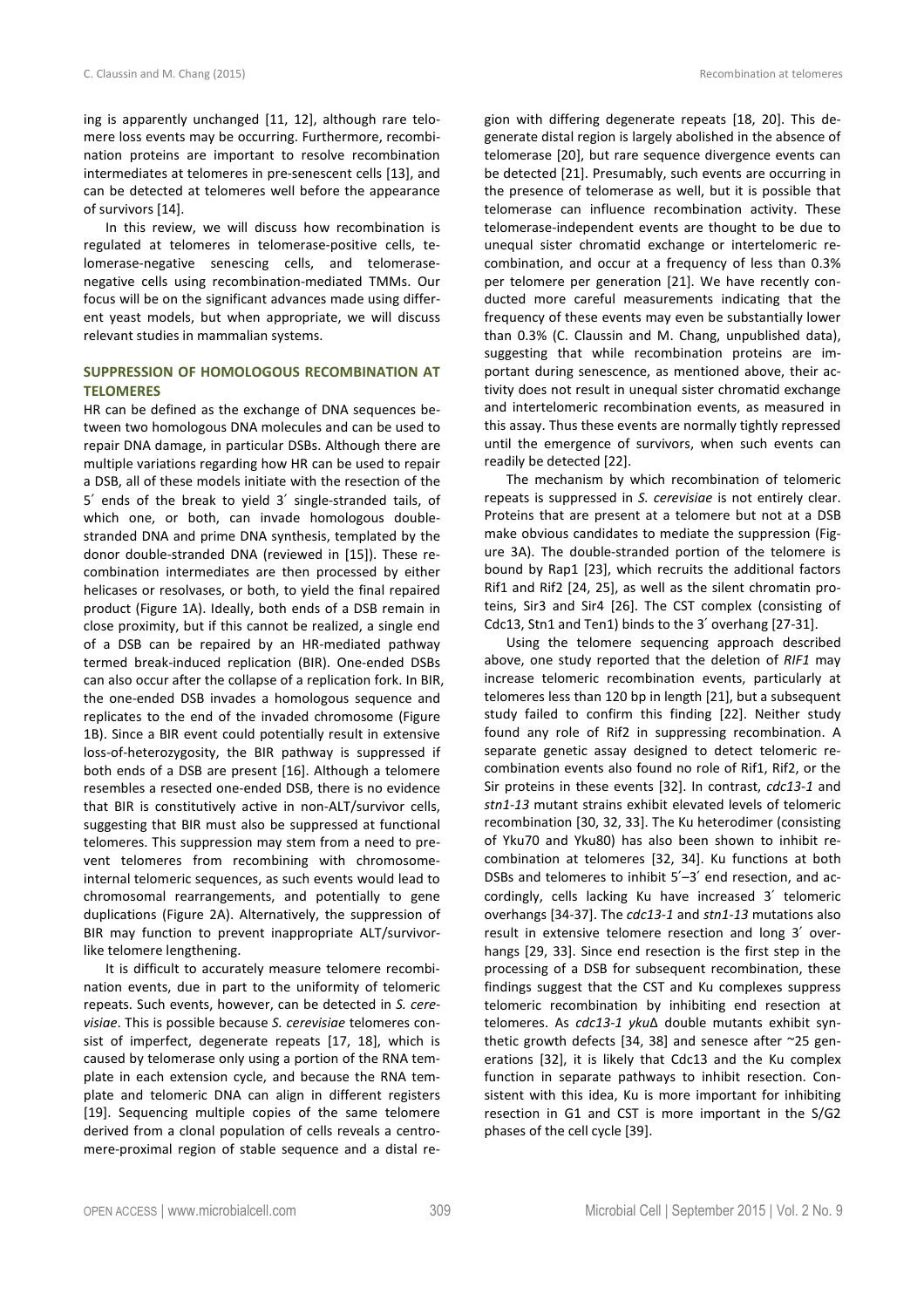ing is apparently unchanged [11, 12], although rare telomere loss events may be occurring. Furthermore, recombination proteins are important to resolve recombination intermediates at telomeres in pre-senescent cells [13], and can be detected at telomeres well before the appearance of survivors [14].

In this review, we will discuss how recombination is regulated at telomeres in telomerase-positive cells, telomerase-negative senescing cells, and telomerasenegative cells using recombination-mediated TMMs. Our focus will be on the significant advances made using different yeast models, but when appropriate, we will discuss relevant studies in mammalian systems.

# **SUPPRESSION OF HOMOLOGOUS RECOMBINATION AT TELOMERES**

HR can be defined as the exchange of DNA sequences between two homologous DNA molecules and can be used to repair DNA damage, in particular DSBs. Although there are multiple variations regarding how HR can be used to repair a DSB, all of these models initiate with the resection of the 5′ ends of the break to yield 3′ single-stranded tails, of which one, or both, can invade homologous doublestranded DNA and prime DNA synthesis, templated by the donor double-stranded DNA (reviewed in [15]). These recombination intermediates are then processed by either helicases or resolvases, or both, to yield the final repaired product (Figure 1A). Ideally, both ends of a DSB remain in close proximity, but if this cannot be realized, a single end of a DSB can be repaired by an HR-mediated pathway termed break-induced replication (BIR). One-ended DSBs can also occur after the collapse of a replication fork. In BIR, the one-ended DSB invades a homologous sequence and replicates to the end of the invaded chromosome (Figure 1B). Since a BIR event could potentially result in extensive loss-of-heterozygosity, the BIR pathway is suppressed if both ends of a DSB are present [16]. Although a telomere resembles a resected one-ended DSB, there is no evidence that BIR is constitutively active in non-ALT/survivor cells, suggesting that BIR must also be suppressed at functional telomeres. This suppression may stem from a need to prevent telomeres from recombining with chromosomeinternal telomeric sequences, as such events would lead to chromosomal rearrangements, and potentially to gene duplications (Figure 2A). Alternatively, the suppression of BIR may function to prevent inappropriate ALT/survivorlike telomere lengthening.

It is difficult to accurately measure telomere recombination events, due in part to the uniformity of telomeric repeats. Such events, however, can be detected in *S. cerevisiae*. This is possible because *S. cerevisiae* telomeres consist of imperfect, degenerate repeats [17, 18], which is caused by telomerase only using a portion of the RNA template in each extension cycle, and because the RNA template and telomeric DNA can align in different registers [19]. Sequencing multiple copies of the same telomere derived from a clonal population of cells reveals a centromere-proximal region of stable sequence and a distal region with differing degenerate repeats [18, 20]. This degenerate distal region is largely abolished in the absence of telomerase [20], but rare sequence divergence events can be detected [21]. Presumably, such events are occurring in the presence of telomerase as well, but it is possible that telomerase can influence recombination activity. These telomerase-independent events are thought to be due to unequal sister chromatid exchange or intertelomeric recombination, and occur at a frequency of less than 0.3% per telomere per generation [21]. We have recently conducted more careful measurements indicating that the frequency of these events may even be substantially lower than 0.3% (C. Claussin and M. Chang, unpublished data), suggesting that while recombination proteins are important during senescence, as mentioned above, their activity does not result in unequal sister chromatid exchange and intertelomeric recombination events, as measured in this assay. Thus these events are normally tightly repressed until the emergence of survivors, when such events can readily be detected [22].

The mechanism by which recombination of telomeric repeats is suppressed in *S. cerevisiae* is not entirely clear. Proteins that are present at a telomere but not at a DSB make obvious candidates to mediate the suppression (Figure 3A). The double-stranded portion of the telomere is bound by Rap1 [23], which recruits the additional factors Rif1 and Rif2 [24, 25], as well as the silent chromatin proteins, Sir3 and Sir4 [26]. The CST complex (consisting of Cdc13, Stn1 and Ten1) binds to the 3′ overhang [27-31].

Using the telomere sequencing approach described above, one study reported that the deletion of *RIF1* may increase telomeric recombination events, particularly at telomeres less than 120 bp in length [21], but a subsequent study failed to confirm this finding [22]. Neither study found any role of Rif2 in suppressing recombination. A separate genetic assay designed to detect telomeric recombination events also found no role of Rif1, Rif2, or the Sir proteins in these events [32]. In contrast, *cdc13-1* and *stn1-13* mutant strains exhibit elevated levels of telomeric recombination [30, 32, 33]. The Ku heterodimer (consisting of Yku70 and Yku80) has also been shown to inhibit recombination at telomeres [32, 34]. Ku functions at both DSBs and telomeres to inhibit 5′–3′ end resection, and accordingly, cells lacking Ku have increased 3′ telomeric overhangs [34-37]. The *cdc13-1* and *stn1-13* mutations also result in extensive telomere resection and long 3′ overhangs [29, 33]. Since end resection is the first step in the processing of a DSB for subsequent recombination, these findings suggest that the CST and Ku complexes suppress telomeric recombination by inhibiting end resection at telomeres. As *cdc13-1 yku*∆ double mutants exhibit synthetic growth defects [34, 38] and senesce after ~25 generations [32], it is likely that Cdc13 and the Ku complex function in separate pathways to inhibit resection. Consistent with this idea, Ku is more important for inhibiting resection in G1 and CST is more important in the S/G2 phases of the cell cycle [39].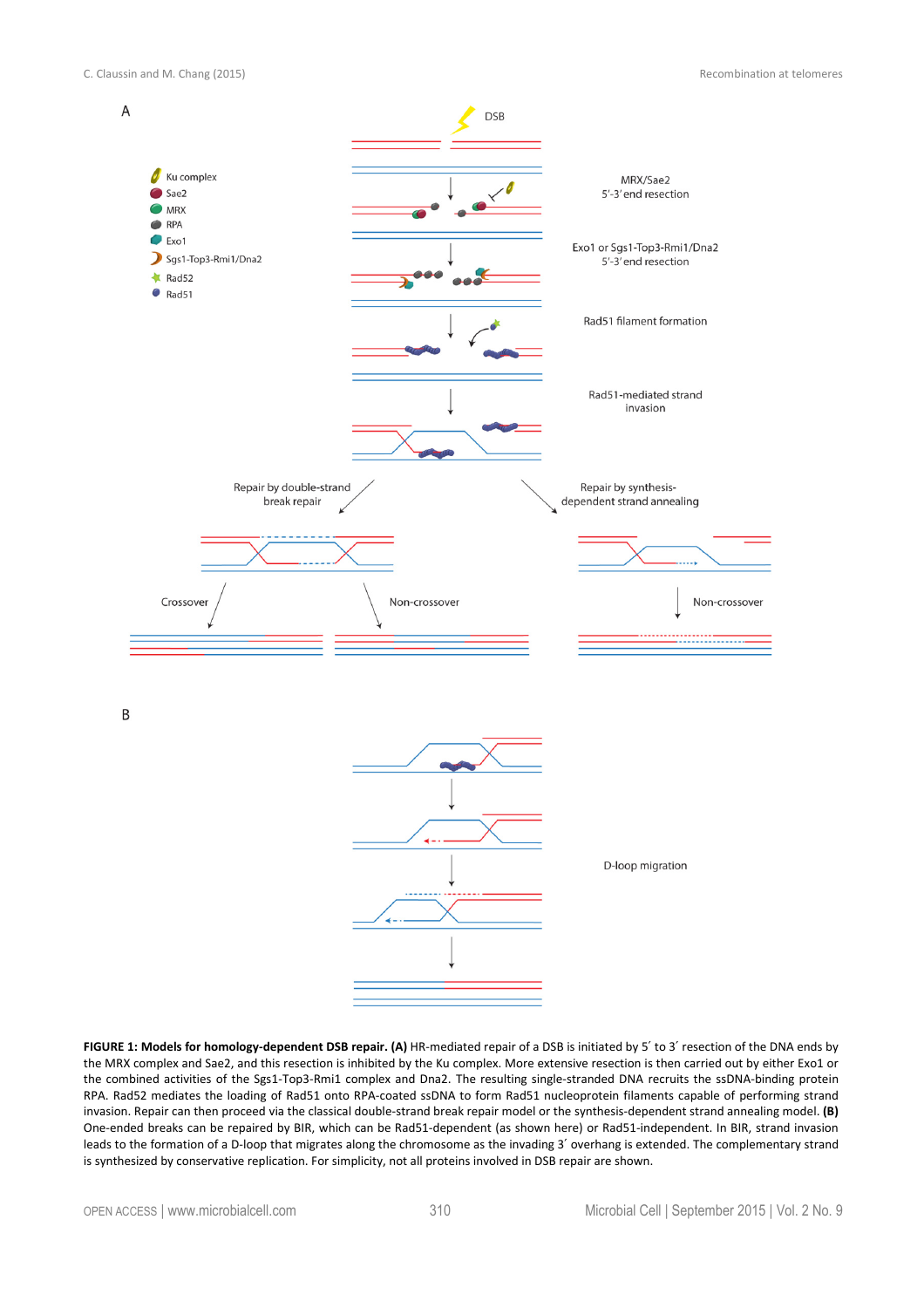

**FIGURE 1: Models for homology-dependent DSB repair. (A)** HR-mediated repair of a DSB is initiated by 5′ to 3′ resection of the DNA ends by the MRX complex and Sae2, and this resection is inhibited by the Ku complex. More extensive resection is then carried out by either Exo1 or the combined activities of the Sgs1-Top3-Rmi1 complex and Dna2. The resulting single-stranded DNA recruits the ssDNA-binding protein RPA. Rad52 mediates the loading of Rad51 onto RPA-coated ssDNA to form Rad51 nucleoprotein filaments capable of performing strand invasion. Repair can then proceed via the classical double-strand break repair model or the synthesis-dependent strand annealing model. **(B)** One-ended breaks can be repaired by BIR, which can be Rad51-dependent (as shown here) or Rad51-independent. In BIR, strand invasion leads to the formation of a D-loop that migrates along the chromosome as the invading 3′ overhang is extended. The complementary strand is synthesized by conservative replication. For simplicity, not all proteins involved in DSB repair are shown.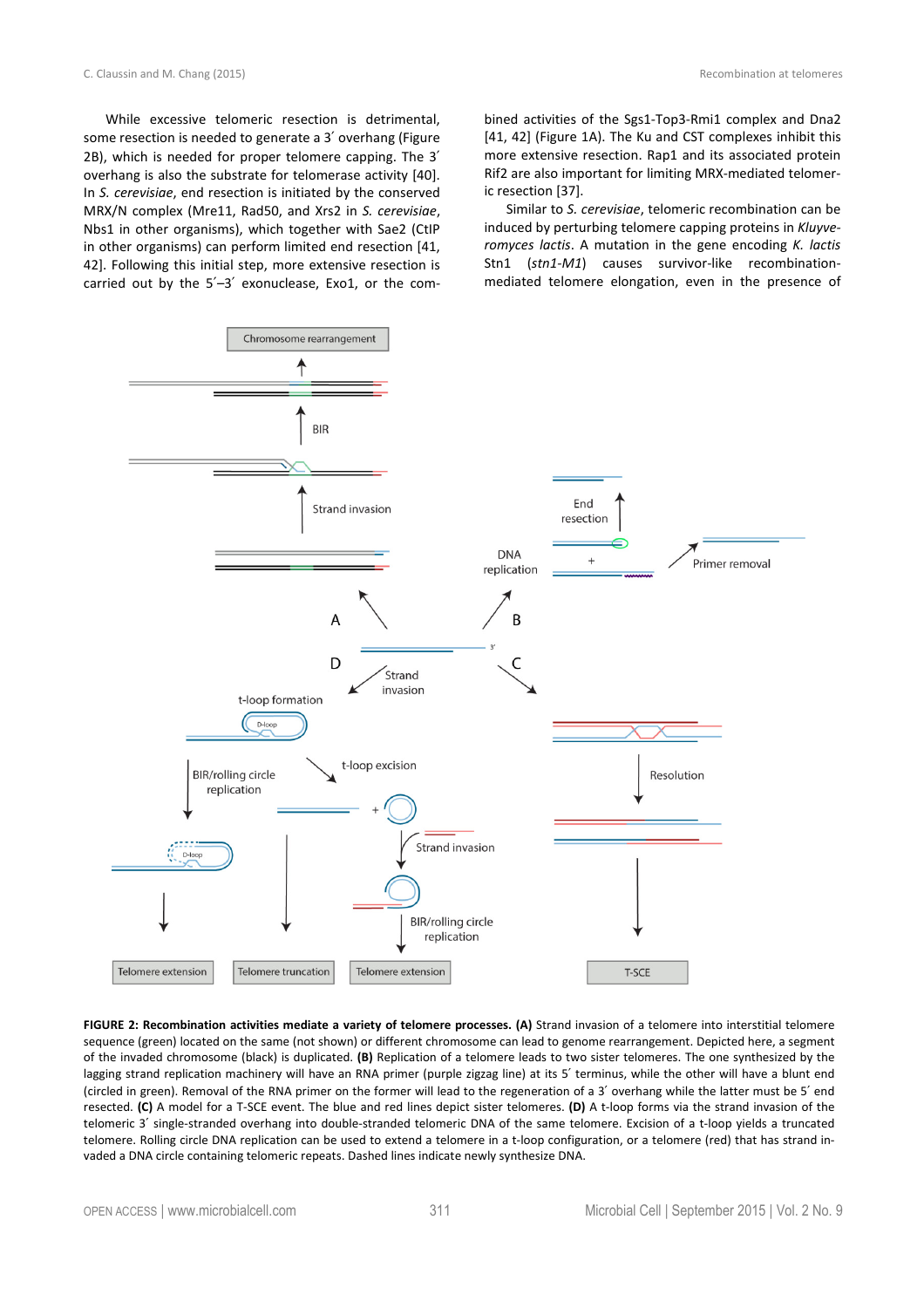While excessive telomeric resection is detrimental, some resection is needed to generate a 3′ overhang (Figure 2B), which is needed for proper telomere capping. The 3′ overhang is also the substrate for telomerase activity [40]. In *S. cerevisiae*, end resection is initiated by the conserved MRX/N complex (Mre11, Rad50, and Xrs2 in *S. cerevisiae*, Nbs1 in other organisms), which together with Sae2 (CtIP in other organisms) can perform limited end resection [41, 42]. Following this initial step, more extensive resection is carried out by the 5′–3′ exonuclease, Exo1, or the combined activities of the Sgs1-Top3-Rmi1 complex and Dna2 [41, 42] (Figure 1A). The Ku and CST complexes inhibit this more extensive resection. Rap1 and its associated protein Rif2 are also important for limiting MRX-mediated telomeric resection [37].

Similar to *S. cerevisiae*, telomeric recombination can be induced by perturbing telomere capping proteins in *Kluyveromyces lactis*. A mutation in the gene encoding *K. lactis* Stn1 (*stn1-M1*) causes survivor-like recombinationmediated telomere elongation, even in the presence of



**FIGURE 2: Recombination activities mediate a variety of telomere processes. (A)** Strand invasion of a telomere into interstitial telomere sequence (green) located on the same (not shown) or different chromosome can lead to genome rearrangement. Depicted here, a segment of the invaded chromosome (black) is duplicated. **(B)** Replication of a telomere leads to two sister telomeres. The one synthesized by the lagging strand replication machinery will have an RNA primer (purple zigzag line) at its 5' terminus, while the other will have a blunt end (circled in green). Removal of the RNA primer on the former will lead to the regeneration of a 3′ overhang while the latter must be 5′ end resected. **(C)** A model for a T-SCE event. The blue and red lines depict sister telomeres. **(D)** A t-loop forms via the strand invasion of the telomeric 3′ single-stranded overhang into double-stranded telomeric DNA of the same telomere. Excision of a t-loop yields a truncated telomere. Rolling circle DNA replication can be used to extend a telomere in a t-loop configuration, or a telomere (red) that has strand invaded a DNA circle containing telomeric repeats. Dashed lines indicate newly synthesize DNA.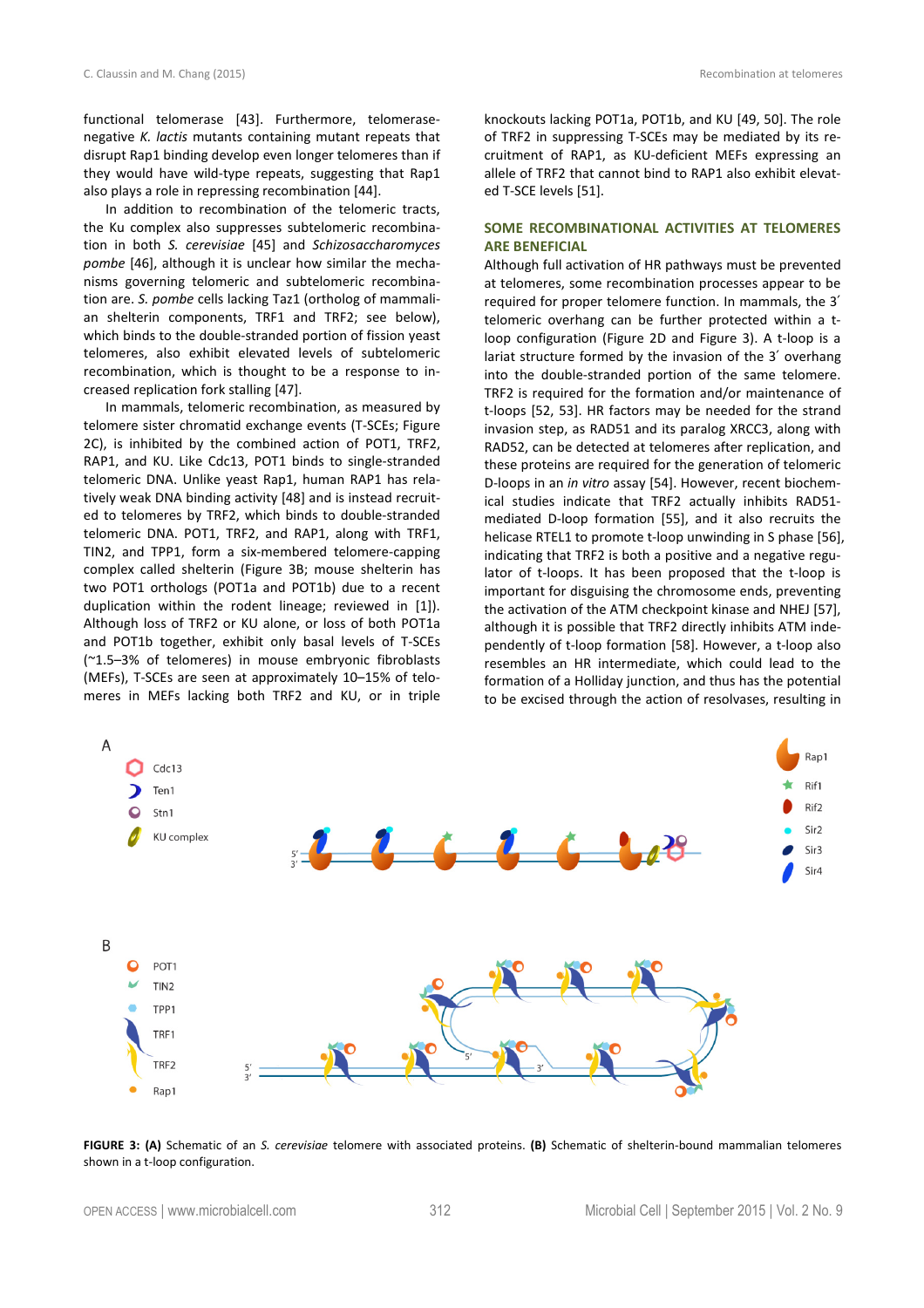functional telomerase [43]. Furthermore, telomerasenegative *K. lactis* mutants containing mutant repeats that disrupt Rap1 binding develop even longer telomeres than if they would have wild-type repeats, suggesting that Rap1 also plays a role in repressing recombination [44].

In addition to recombination of the telomeric tracts, the Ku complex also suppresses subtelomeric recombination in both *S. cerevisiae* [45] and *Schizosaccharomyces pombe* [46], although it is unclear how similar the mechanisms governing telomeric and subtelomeric recombination are. *S. pombe* cells lacking Taz1 (ortholog of mammalian shelterin components, TRF1 and TRF2; see below), which binds to the double-stranded portion of fission yeast telomeres, also exhibit elevated levels of subtelomeric recombination, which is thought to be a response to increased replication fork stalling [47].

In mammals, telomeric recombination, as measured by telomere sister chromatid exchange events (T-SCEs; Figure 2C), is inhibited by the combined action of POT1, TRF2, RAP1, and KU. Like Cdc13, POT1 binds to single-stranded telomeric DNA. Unlike yeast Rap1, human RAP1 has relatively weak DNA binding activity [48] and is instead recruited to telomeres by TRF2, which binds to double-stranded telomeric DNA. POT1, TRF2, and RAP1, along with TRF1, TIN2, and TPP1, form a six-membered telomere-capping complex called shelterin (Figure 3B; mouse shelterin has two POT1 orthologs (POT1a and POT1b) due to a recent duplication within the rodent lineage; reviewed in [1]). Although loss of TRF2 or KU alone, or loss of both POT1a and POT1b together, exhibit only basal levels of T-SCEs (~1.5–3% of telomeres) in mouse embryonic fibroblasts (MEFs), T-SCEs are seen at approximately 10–15% of telomeres in MEFs lacking both TRF2 and KU, or in triple

knockouts lacking POT1a, POT1b, and KU [49, 50]. The role of TRF2 in suppressing T-SCEs may be mediated by its recruitment of RAP1, as KU-deficient MEFs expressing an allele of TRF2 that cannot bind to RAP1 also exhibit elevated T-SCE levels [51].

# **SOME RECOMBINATIONAL ACTIVITIES AT TELOMERES ARE BENEFICIAL**

Although full activation of HR pathways must be prevented at telomeres, some recombination processes appear to be required for proper telomere function. In mammals, the 3′ telomeric overhang can be further protected within a tloop configuration (Figure 2D and Figure 3). A t-loop is a lariat structure formed by the invasion of the 3′ overhang into the double-stranded portion of the same telomere. TRF2 is required for the formation and/or maintenance of t-loops [52, 53]. HR factors may be needed for the strand invasion step, as RAD51 and its paralog XRCC3, along with RAD52, can be detected at telomeres after replication, and these proteins are required for the generation of telomeric D-loops in an *in vitro* assay [54]. However, recent biochemical studies indicate that TRF2 actually inhibits RAD51 mediated D-loop formation [55], and it also recruits the helicase RTEL1 to promote t-loop unwinding in S phase [56], indicating that TRF2 is both a positive and a negative regulator of t-loops. It has been proposed that the t-loop is important for disguising the chromosome ends, preventing the activation of the ATM checkpoint kinase and NHEJ [57], although it is possible that TRF2 directly inhibits ATM independently of t-loop formation [58]. However, a t-loop also resembles an HR intermediate, which could lead to the formation of a Holliday junction, and thus has the potential to be excised through the action of resolvases, resulting in



**FIGURE 3: (A)** Schematic of an *S. cerevisiae* telomere with associated proteins. **(B)** Schematic of shelterin-bound mammalian telomeres shown in a t-loop configuration.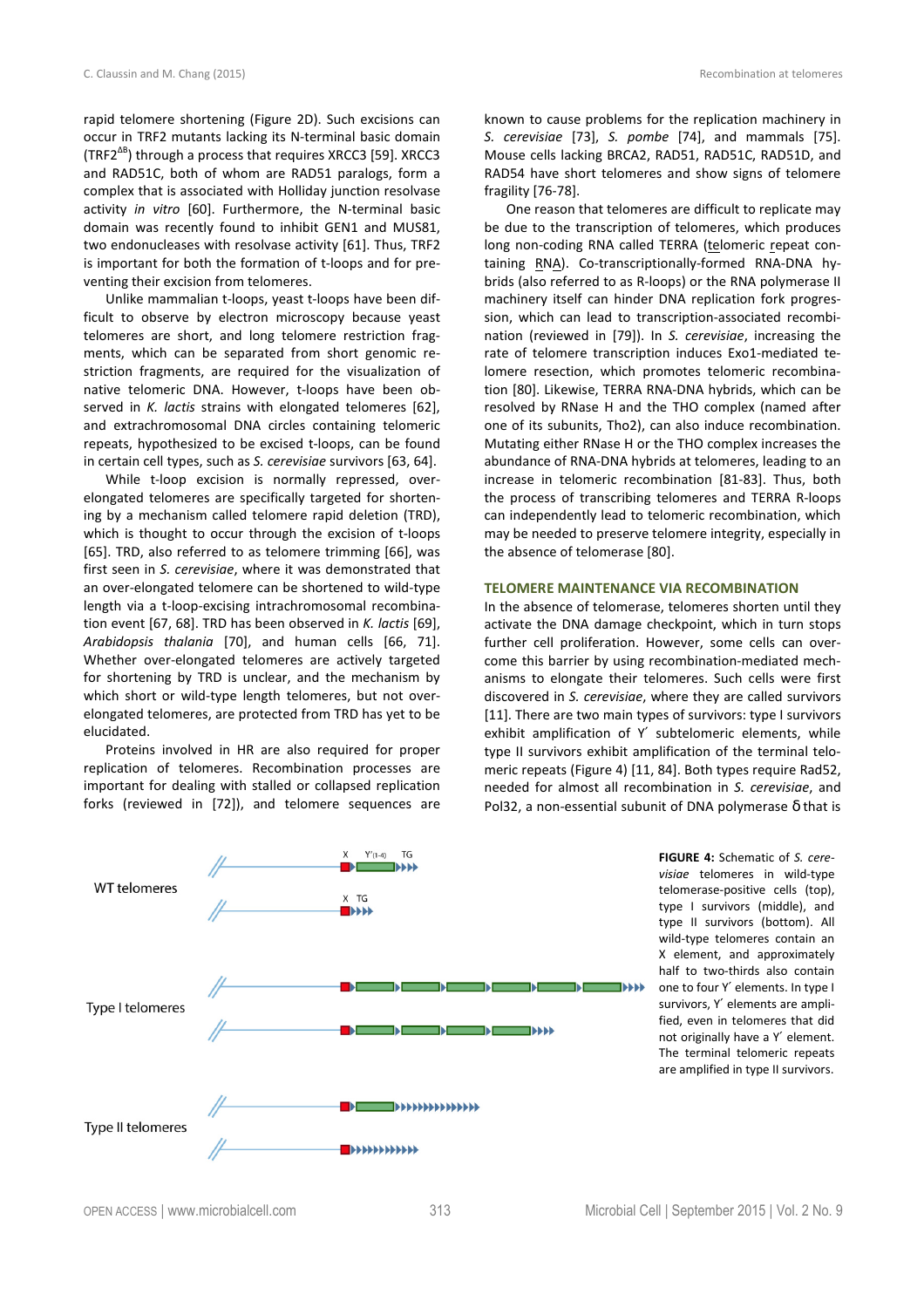rapid telomere shortening (Figure 2D). Such excisions can occur in TRF2 mutants lacking its N-terminal basic domain (TRF2∆B) through a process that requires XRCC3 [59]. XRCC3 and RAD51C, both of whom are RAD51 paralogs, form a complex that is associated with Holliday junction resolvase activity *in vitro* [60]. Furthermore, the N-terminal basic domain was recently found to inhibit GEN1 and MUS81, two endonucleases with resolvase activity [61]. Thus, TRF2 is important for both the formation of t-loops and for pre-

venting their excision from telomeres. Unlike mammalian t-loops, yeast t-loops have been difficult to observe by electron microscopy because yeast telomeres are short, and long telomere restriction fragments, which can be separated from short genomic restriction fragments, are required for the visualization of native telomeric DNA. However, t-loops have been observed in *K. lactis* strains with elongated telomeres [62], and extrachromosomal DNA circles containing telomeric repeats, hypothesized to be excised t-loops, can be found in certain cell types, such as *S. cerevisiae* survivors [63, 64].

While t-loop excision is normally repressed, overelongated telomeres are specifically targeted for shortening by a mechanism called telomere rapid deletion (TRD), which is thought to occur through the excision of t-loops [65]. TRD, also referred to as telomere trimming [66], was first seen in *S. cerevisiae*, where it was demonstrated that an over-elongated telomere can be shortened to wild-type length via a t-loop-excising intrachromosomal recombination event [67, 68]. TRD has been observed in *K. lactis* [69], *Arabidopsis thalania* [70], and human cells [66, 71]. Whether over-elongated telomeres are actively targeted for shortening by TRD is unclear, and the mechanism by which short or wild-type length telomeres, but not overelongated telomeres, are protected from TRD has yet to be elucidated.

Proteins involved in HR are also required for proper replication of telomeres. Recombination processes are important for dealing with stalled or collapsed replication forks (reviewed in [72]), and telomere sequences are

known to cause problems for the replication machinery in *S. cerevisiae* [73], *S. pombe* [74], and mammals [75]. Mouse cells lacking BRCA2, RAD51, RAD51C, RAD51D, and RAD54 have short telomeres and show signs of telomere fragility [76-78].

One reason that telomeres are difficult to replicate may be due to the transcription of telomeres, which produces long non-coding RNA called TERRA (telomeric repeat containing RNA). Co-transcriptionally-formed RNA-DNA hybrids (also referred to as R-loops) or the RNA polymerase II machinery itself can hinder DNA replication fork progression, which can lead to transcription-associated recombination (reviewed in [79]). In *S. cerevisiae*, increasing the rate of telomere transcription induces Exo1-mediated telomere resection, which promotes telomeric recombination [80]. Likewise, TERRA RNA-DNA hybrids, which can be resolved by RNase H and the THO complex (named after one of its subunits, Tho2), can also induce recombination. Mutating either RNase H or the THO complex increases the abundance of RNA-DNA hybrids at telomeres, leading to an increase in telomeric recombination [81-83]. Thus, both the process of transcribing telomeres and TERRA R-loops can independently lead to telomeric recombination, which may be needed to preserve telomere integrity, especially in the absence of telomerase [80].

# **TELOMERE MAINTENANCE VIA RECOMBINATION**

In the absence of telomerase, telomeres shorten until they activate the DNA damage checkpoint, which in turn stops further cell proliferation. However, some cells can overcome this barrier by using recombination-mediated mechanisms to elongate their telomeres. Such cells were first discovered in *S. cerevisiae*, where they are called survivors [11]. There are two main types of survivors: type I survivors exhibit amplification of Y′ subtelomeric elements, while type II survivors exhibit amplification of the terminal telomeric repeats (Figure 4) [11, 84]. Both types require Rad52, needed for almost all recombination in *S. cerevisiae*, and Pol32, a non-essential subunit of DNA polymerase δ that is



**FIGURE 4:** Schematic of *S. cerevisiae* telomeres in wild-type telomerase-positive cells (top), type I survivors (middle), and type II survivors (bottom). All wild-type telomeres contain an X element, and approximately half to two-thirds also contain one to four Y′ elements. In type I survivors, Y′ elements are amplified, even in telomeres that did not originally have a Y′ element. The terminal telomeric repeats are amplified in type II survivors.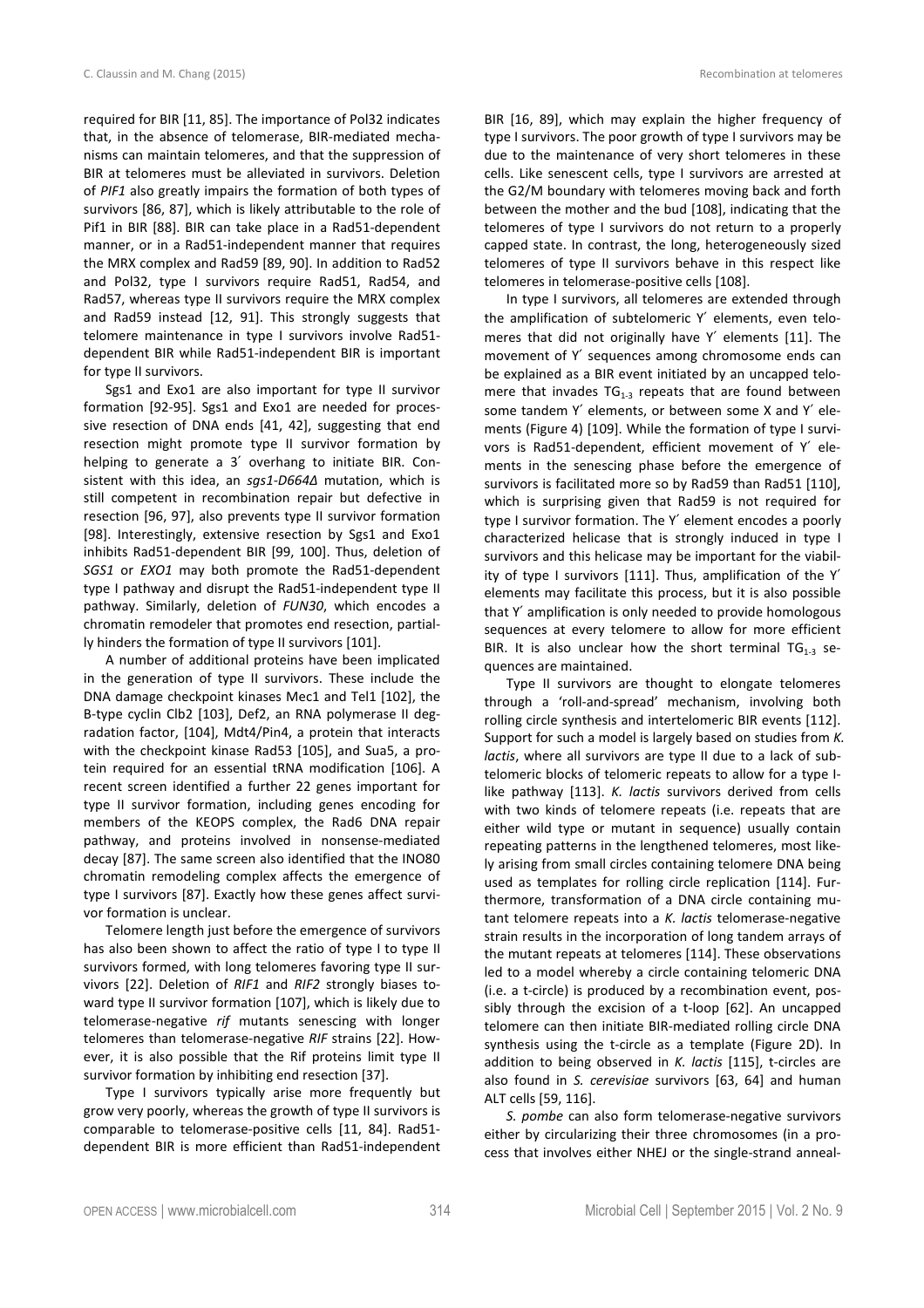required for BIR [11, 85]. The importance of Pol32 indicates that, in the absence of telomerase, BIR-mediated mechanisms can maintain telomeres, and that the suppression of BIR at telomeres must be alleviated in survivors. Deletion of *PIF1* also greatly impairs the formation of both types of survivors [86, 87], which is likely attributable to the role of Pif1 in BIR [88]. BIR can take place in a Rad51-dependent manner, or in a Rad51-independent manner that requires the MRX complex and Rad59 [89, 90]. In addition to Rad52 and Pol32, type I survivors require Rad51, Rad54, and Rad57, whereas type II survivors require the MRX complex and Rad59 instead [12, 91]. This strongly suggests that telomere maintenance in type I survivors involve Rad51 dependent BIR while Rad51-independent BIR is important for type II survivors.

Sgs1 and Exo1 are also important for type II survivor formation [92-95]. Sgs1 and Exo1 are needed for processive resection of DNA ends [41, 42], suggesting that end resection might promote type II survivor formation by helping to generate a 3′ overhang to initiate BIR. Consistent with this idea, an *sgs1-D664∆* mutation, which is still competent in recombination repair but defective in resection [96, 97], also prevents type II survivor formation [98]. Interestingly, extensive resection by Sgs1 and Exo1 inhibits Rad51-dependent BIR [99, 100]. Thus, deletion of *SGS1* or *EXO1* may both promote the Rad51-dependent type I pathway and disrupt the Rad51-independent type II pathway. Similarly, deletion of *FUN30*, which encodes a chromatin remodeler that promotes end resection, partially hinders the formation of type II survivors [101].

A number of additional proteins have been implicated in the generation of type II survivors. These include the DNA damage checkpoint kinases Mec1 and Tel1 [102], the B-type cyclin Clb2 [103], Def2, an RNA polymerase II degradation factor, [104], Mdt4/Pin4, a protein that interacts with the checkpoint kinase Rad53 [105], and Sua5, a protein required for an essential tRNA modification [106]. A recent screen identified a further 22 genes important for type II survivor formation, including genes encoding for members of the KEOPS complex, the Rad6 DNA repair pathway, and proteins involved in nonsense-mediated decay [87]. The same screen also identified that the INO80 chromatin remodeling complex affects the emergence of type I survivors [87]. Exactly how these genes affect survivor formation is unclear.

Telomere length just before the emergence of survivors has also been shown to affect the ratio of type I to type II survivors formed, with long telomeres favoring type II survivors [22]. Deletion of *RIF1* and *RIF2* strongly biases toward type II survivor formation [107], which is likely due to telomerase-negative *rif* mutants senescing with longer telomeres than telomerase-negative *RIF* strains [22]. However, it is also possible that the Rif proteins limit type II survivor formation by inhibiting end resection [37].

Type I survivors typically arise more frequently but grow very poorly, whereas the growth of type II survivors is comparable to telomerase-positive cells [11, 84]. Rad51 dependent BIR is more efficient than Rad51-independent BIR [16, 89], which may explain the higher frequency of type I survivors. The poor growth of type I survivors may be due to the maintenance of very short telomeres in these cells. Like senescent cells, type I survivors are arrested at the G2/M boundary with telomeres moving back and forth between the mother and the bud [108], indicating that the telomeres of type I survivors do not return to a properly capped state. In contrast, the long, heterogeneously sized telomeres of type II survivors behave in this respect like telomeres in telomerase-positive cells [108].

In type I survivors, all telomeres are extended through the amplification of subtelomeric Y′ elements, even telomeres that did not originally have Y′ elements [11]. The movement of Y′ sequences among chromosome ends can be explained as a BIR event initiated by an uncapped telomere that invades  $TG_{1-3}$  repeats that are found between some tandem Y′ elements, or between some X and Y′ elements (Figure 4) [109]. While the formation of type I survivors is Rad51-dependent, efficient movement of Y′ elements in the senescing phase before the emergence of survivors is facilitated more so by Rad59 than Rad51 [110], which is surprising given that Rad59 is not required for type I survivor formation. The Y′ element encodes a poorly characterized helicase that is strongly induced in type I survivors and this helicase may be important for the viability of type I survivors [111]. Thus, amplification of the Y′ elements may facilitate this process, but it is also possible that Y′ amplification is only needed to provide homologous sequences at every telomere to allow for more efficient BIR. It is also unclear how the short terminal  $TG_{1-3}$  sequences are maintained.

Type II survivors are thought to elongate telomeres through a 'roll-and-spread' mechanism, involving both rolling circle synthesis and intertelomeric BIR events [112]. Support for such a model is largely based on studies from *K. lactis*, where all survivors are type II due to a lack of subtelomeric blocks of telomeric repeats to allow for a type Ilike pathway [113]. *K. lactis* survivors derived from cells with two kinds of telomere repeats (i.e. repeats that are either wild type or mutant in sequence) usually contain repeating patterns in the lengthened telomeres, most likely arising from small circles containing telomere DNA being used as templates for rolling circle replication [114]. Furthermore, transformation of a DNA circle containing mutant telomere repeats into a *K. lactis* telomerase-negative strain results in the incorporation of long tandem arrays of the mutant repeats at telomeres [114]. These observations led to a model whereby a circle containing telomeric DNA (i.e. a t-circle) is produced by a recombination event, possibly through the excision of a t-loop [62]. An uncapped telomere can then initiate BIR-mediated rolling circle DNA synthesis using the t-circle as a template (Figure 2D). In addition to being observed in *K. lactis* [115], t-circles are also found in *S. cerevisiae* survivors [63, 64] and human ALT cells [59, 116].

*S. pombe* can also form telomerase-negative survivors either by circularizing their three chromosomes (in a process that involves either NHEJ or the single-strand anneal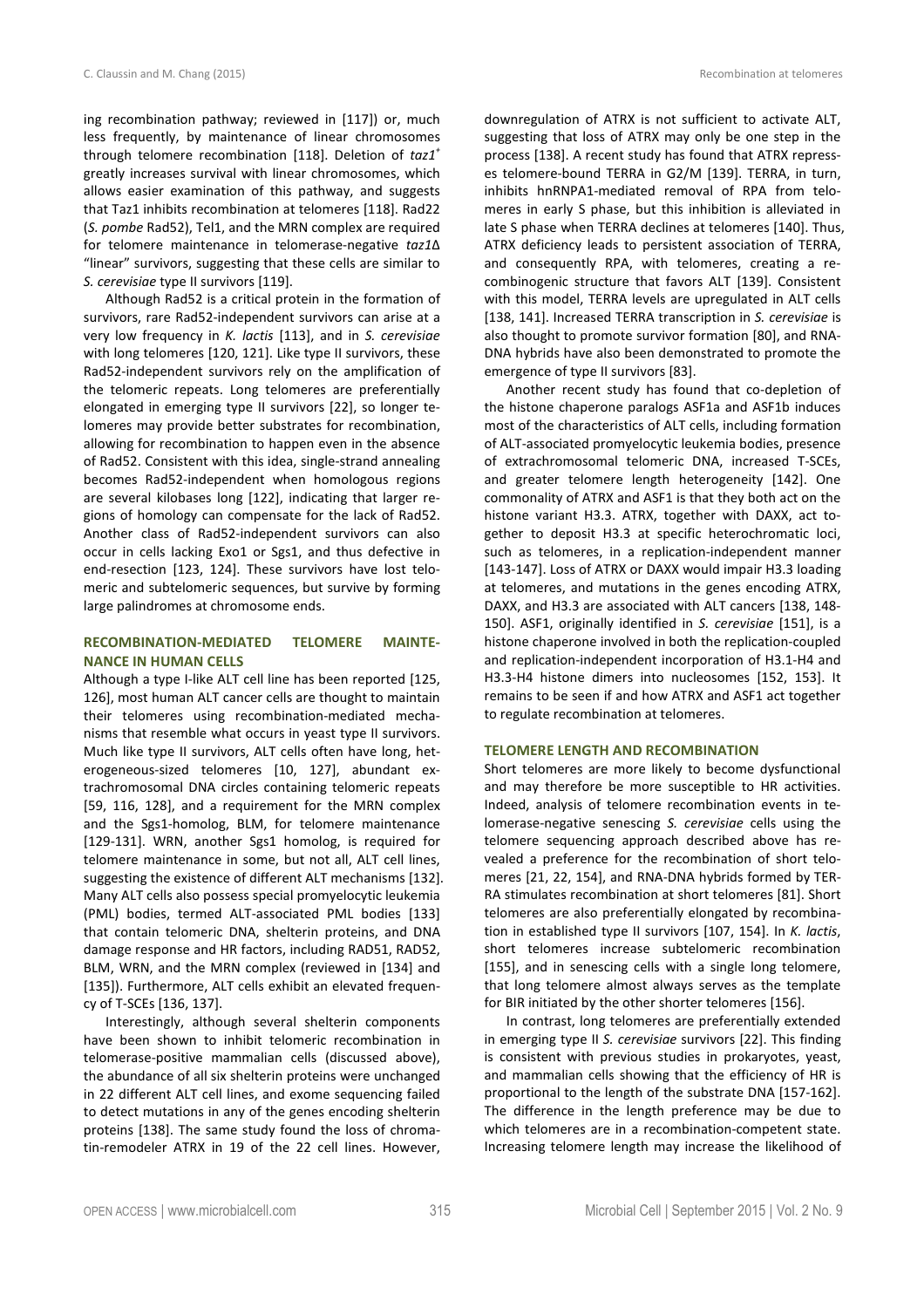ing recombination pathway; reviewed in [117]) or, much less frequently, by maintenance of linear chromosomes through telomere recombination [118]. Deletion of *taz1<sup>+</sup>* greatly increases survival with linear chromosomes, which allows easier examination of this pathway, and suggests that Taz1 inhibits recombination at telomeres [118]. Rad22 (*S. pombe* Rad52), Tel1, and the MRN complex are required for telomere maintenance in telomerase-negative *taz1*∆ "linear" survivors, suggesting that these cells are similar to *S. cerevisiae* type II survivors [119].

Although Rad52 is a critical protein in the formation of survivors, rare Rad52-independent survivors can arise at a very low frequency in *K. lactis* [113], and in *S. cerevisiae* with long telomeres [120, 121]. Like type II survivors, these Rad52-independent survivors rely on the amplification of the telomeric repeats. Long telomeres are preferentially elongated in emerging type II survivors [22], so longer telomeres may provide better substrates for recombination, allowing for recombination to happen even in the absence of Rad52. Consistent with this idea, single-strand annealing becomes Rad52-independent when homologous regions are several kilobases long [122], indicating that larger regions of homology can compensate for the lack of Rad52. Another class of Rad52-independent survivors can also occur in cells lacking Exo1 or Sgs1, and thus defective in end-resection [123, 124]. These survivors have lost telomeric and subtelomeric sequences, but survive by forming large palindromes at chromosome ends.

# **RECOMBINATION-MEDIATED TELOMERE MAINTE-NANCE IN HUMAN CELLS**

Although a type I-like ALT cell line has been reported [125, 126], most human ALT cancer cells are thought to maintain their telomeres using recombination-mediated mechanisms that resemble what occurs in yeast type II survivors. Much like type II survivors, ALT cells often have long, heterogeneous-sized telomeres [10, 127], abundant extrachromosomal DNA circles containing telomeric repeats [59, 116, 128], and a requirement for the MRN complex and the Sgs1-homolog, BLM, for telomere maintenance [129-131]. WRN, another Sgs1 homolog, is required for telomere maintenance in some, but not all, ALT cell lines, suggesting the existence of different ALT mechanisms [132]. Many ALT cells also possess special promyelocytic leukemia (PML) bodies, termed ALT-associated PML bodies [133] that contain telomeric DNA, shelterin proteins, and DNA damage response and HR factors, including RAD51, RAD52, BLM, WRN, and the MRN complex (reviewed in [134] and [135]). Furthermore, ALT cells exhibit an elevated frequency of T-SCEs [136, 137].

Interestingly, although several shelterin components have been shown to inhibit telomeric recombination in telomerase-positive mammalian cells (discussed above), the abundance of all six shelterin proteins were unchanged in 22 different ALT cell lines, and exome sequencing failed to detect mutations in any of the genes encoding shelterin proteins [138]. The same study found the loss of chromatin-remodeler ATRX in 19 of the 22 cell lines. However, downregulation of ATRX is not sufficient to activate ALT, suggesting that loss of ATRX may only be one step in the process [138]. A recent study has found that ATRX represses telomere-bound TERRA in G2/M [139]. TERRA, in turn, inhibits hnRNPA1-mediated removal of RPA from telomeres in early S phase, but this inhibition is alleviated in late S phase when TERRA declines at telomeres [140]. Thus, ATRX deficiency leads to persistent association of TERRA, and consequently RPA, with telomeres, creating a recombinogenic structure that favors ALT [139]. Consistent with this model, TERRA levels are upregulated in ALT cells [138, 141]. Increased TERRA transcription in *S. cerevisiae* is also thought to promote survivor formation [80], and RNA-DNA hybrids have also been demonstrated to promote the emergence of type II survivors [83].

Another recent study has found that co-depletion of the histone chaperone paralogs ASF1a and ASF1b induces most of the characteristics of ALT cells, including formation of ALT-associated promyelocytic leukemia bodies, presence of extrachromosomal telomeric DNA, increased T-SCEs, and greater telomere length heterogeneity [142]. One commonality of ATRX and ASF1 is that they both act on the histone variant H3.3. ATRX, together with DAXX, act together to deposit H3.3 at specific heterochromatic loci, such as telomeres, in a replication-independent manner [143-147]. Loss of ATRX or DAXX would impair H3.3 loading at telomeres, and mutations in the genes encoding ATRX, DAXX, and H3.3 are associated with ALT cancers [138, 148- 150]. ASF1, originally identified in *S. cerevisiae* [151], is a histone chaperone involved in both the replication-coupled and replication-independent incorporation of H3.1-H4 and H3.3-H4 histone dimers into nucleosomes [152, 153]. It remains to be seen if and how ATRX and ASF1 act together to regulate recombination at telomeres.

## **TELOMERE LENGTH AND RECOMBINATION**

Short telomeres are more likely to become dysfunctional and may therefore be more susceptible to HR activities. Indeed, analysis of telomere recombination events in telomerase-negative senescing *S. cerevisiae* cells using the telomere sequencing approach described above has revealed a preference for the recombination of short telomeres [21, 22, 154], and RNA-DNA hybrids formed by TER-RA stimulates recombination at short telomeres [81]. Short telomeres are also preferentially elongated by recombination in established type II survivors [107, 154]. In *K. lactis*, short telomeres increase subtelomeric recombination [155], and in senescing cells with a single long telomere, that long telomere almost always serves as the template for BIR initiated by the other shorter telomeres [156].

In contrast, long telomeres are preferentially extended in emerging type II *S. cerevisiae* survivors [22]. This finding is consistent with previous studies in prokaryotes, yeast, and mammalian cells showing that the efficiency of HR is proportional to the length of the substrate DNA [157-162]. The difference in the length preference may be due to which telomeres are in a recombination-competent state. Increasing telomere length may increase the likelihood of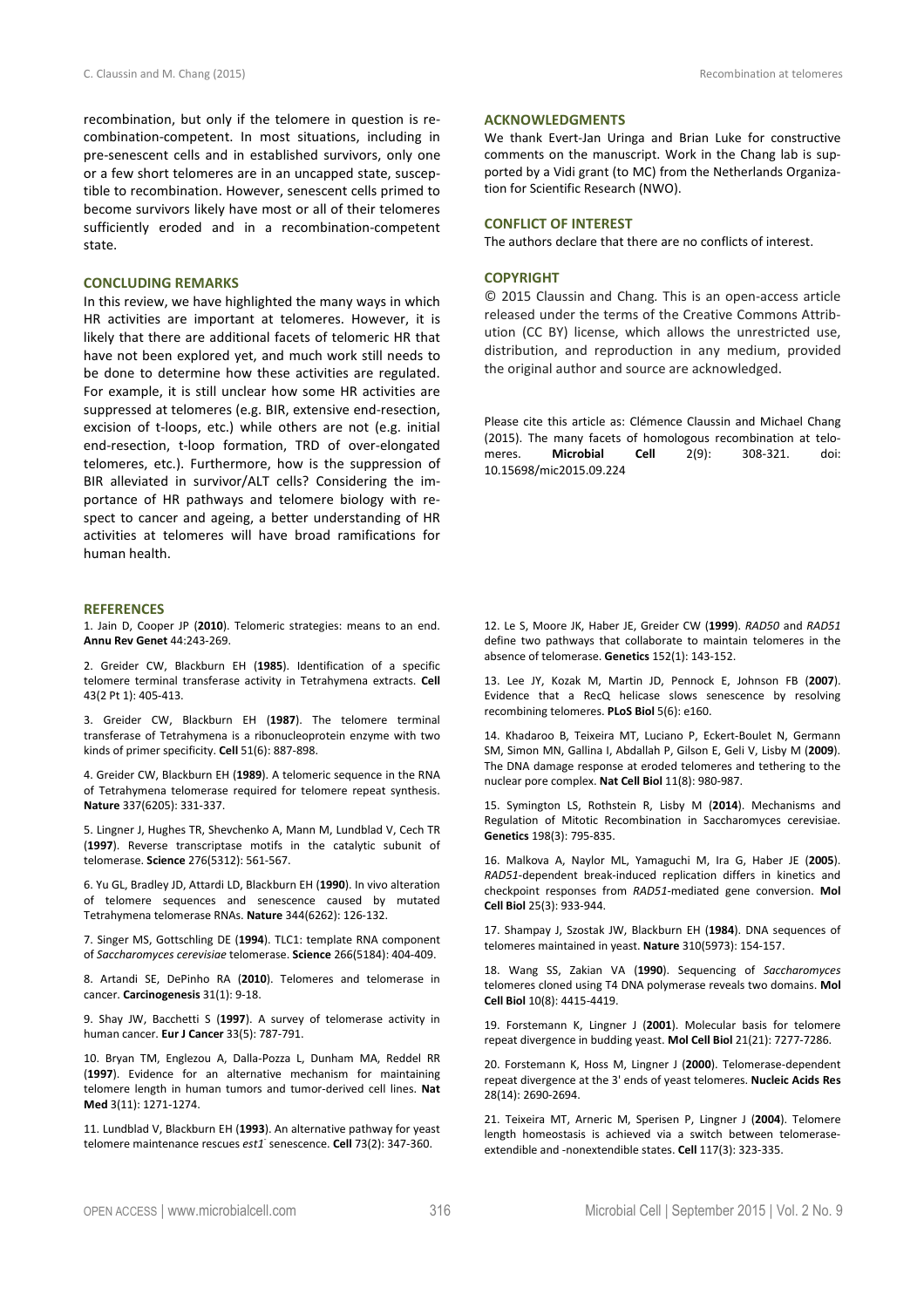recombination, but only if the telomere in question is recombination-competent. In most situations, including in pre-senescent cells and in established survivors, only one or a few short telomeres are in an uncapped state, susceptible to recombination. However, senescent cells primed to become survivors likely have most or all of their telomeres sufficiently eroded and in a recombination-competent state.

## **CONCLUDING REMARKS**

In this review, we have highlighted the many ways in which HR activities are important at telomeres. However, it is likely that there are additional facets of telomeric HR that have not been explored yet, and much work still needs to be done to determine how these activities are regulated. For example, it is still unclear how some HR activities are suppressed at telomeres (e.g. BIR, extensive end-resection, excision of t-loops, etc.) while others are not (e.g. initial end-resection, t-loop formation, TRD of over-elongated telomeres, etc.). Furthermore, how is the suppression of BIR alleviated in survivor/ALT cells? Considering the importance of HR pathways and telomere biology with respect to cancer and ageing, a better understanding of HR activities at telomeres will have broad ramifications for human health.

#### **REFERENCES**

1. Jain D, Cooper JP (**2010**). Telomeric strategies: means to an end. **Annu Rev Genet** 44:243-269.

2. Greider CW, Blackburn EH (**1985**). Identification of a specific telomere terminal transferase activity in Tetrahymena extracts. **Cell** 43(2 Pt 1): 405-413.

3. Greider CW, Blackburn EH (**1987**). The telomere terminal transferase of Tetrahymena is a ribonucleoprotein enzyme with two kinds of primer specificity. **Cell** 51(6): 887-898.

4. Greider CW, Blackburn EH (**1989**). A telomeric sequence in the RNA of Tetrahymena telomerase required for telomere repeat synthesis. **Nature** 337(6205): 331-337.

5. Lingner J, Hughes TR, Shevchenko A, Mann M, Lundblad V, Cech TR (**1997**). Reverse transcriptase motifs in the catalytic subunit of telomerase. **Science** 276(5312): 561-567.

6. Yu GL, Bradley JD, Attardi LD, Blackburn EH (**1990**). In vivo alteration of telomere sequences and senescence caused by mutated Tetrahymena telomerase RNAs. **Nature** 344(6262): 126-132.

7. Singer MS, Gottschling DE (**1994**). TLC1: template RNA component of *Saccharomyces cerevisiae* telomerase. **Science** 266(5184): 404-409.

8. Artandi SE, DePinho RA (**2010**). Telomeres and telomerase in cancer. **Carcinogenesis** 31(1): 9-18.

9. Shay JW, Bacchetti S (**1997**). A survey of telomerase activity in human cancer. **Eur J Cancer** 33(5): 787-791.

10. Bryan TM, Englezou A, Dalla-Pozza L, Dunham MA, Reddel RR (**1997**). Evidence for an alternative mechanism for maintaining telomere length in human tumors and tumor-derived cell lines. **Nat Med** 3(11): 1271-1274.

11. Lundblad V, Blackburn EH (**1993**). An alternative pathway for yeast telomere maintenance rescues est1<sup>-</sup> senescence. **Cell** 73(2): 347-360.

## **ACKNOWLEDGMENTS**

We thank Evert-Jan Uringa and Brian Luke for constructive comments on the manuscript. Work in the Chang lab is supported by a Vidi grant (to MC) from the Netherlands Organization for Scientific Research (NWO).

## **CONFLICT OF INTEREST**

The authors declare that there are no conflicts of interest.

### **COPYRIGHT**

© 2015 Claussin and Chang*.* This is an open-access article released under the terms of the Creative Commons Attribution (CC BY) license, which allows the unrestricted use, distribution, and reproduction in any medium, provided the original author and source are acknowledged.

Please cite this article as: Clémence Claussin and Michael Chang (2015). The many facets of homologous recombination at telomeres. **Microbial Cell** 2(9): 308-321. doi: 10.15698/mic2015.09.224

12. Le S, Moore JK, Haber JE, Greider CW (**1999**). *RAD50* and *RAD51* define two pathways that collaborate to maintain telomeres in the absence of telomerase. **Genetics** 152(1): 143-152.

13. Lee JY, Kozak M, Martin JD, Pennock E, Johnson FB (**2007**). Evidence that a RecQ helicase slows senescence by resolving recombining telomeres. **PLoS Biol** 5(6): e160.

14. Khadaroo B, Teixeira MT, Luciano P, Eckert-Boulet N, Germann SM, Simon MN, Gallina I, Abdallah P, Gilson E, Geli V, Lisby M (**2009**). The DNA damage response at eroded telomeres and tethering to the nuclear pore complex. **Nat Cell Biol** 11(8): 980-987.

15. Symington LS, Rothstein R, Lisby M (**2014**). Mechanisms and Regulation of Mitotic Recombination in Saccharomyces cerevisiae. **Genetics** 198(3): 795-835.

16. Malkova A, Naylor ML, Yamaguchi M, Ira G, Haber JE (**2005**). *RAD51*-dependent break-induced replication differs in kinetics and checkpoint responses from *RAD51*-mediated gene conversion. **Mol Cell Biol** 25(3): 933-944.

17. Shampay J, Szostak JW, Blackburn EH (**1984**). DNA sequences of telomeres maintained in yeast. **Nature** 310(5973): 154-157.

18. Wang SS, Zakian VA (**1990**). Sequencing of *Saccharomyces* telomeres cloned using T4 DNA polymerase reveals two domains. **Mol Cell Biol** 10(8): 4415-4419.

19. Forstemann K, Lingner J (**2001**). Molecular basis for telomere repeat divergence in budding yeast. **Mol Cell Biol** 21(21): 7277-7286.

20. Forstemann K, Hoss M, Lingner J (**2000**). Telomerase-dependent repeat divergence at the 3' ends of yeast telomeres. **Nucleic Acids Res** 28(14): 2690-2694.

21. Teixeira MT, Arneric M, Sperisen P, Lingner J (**2004**). Telomere length homeostasis is achieved via a switch between telomeraseextendible and -nonextendible states. **Cell** 117(3): 323-335.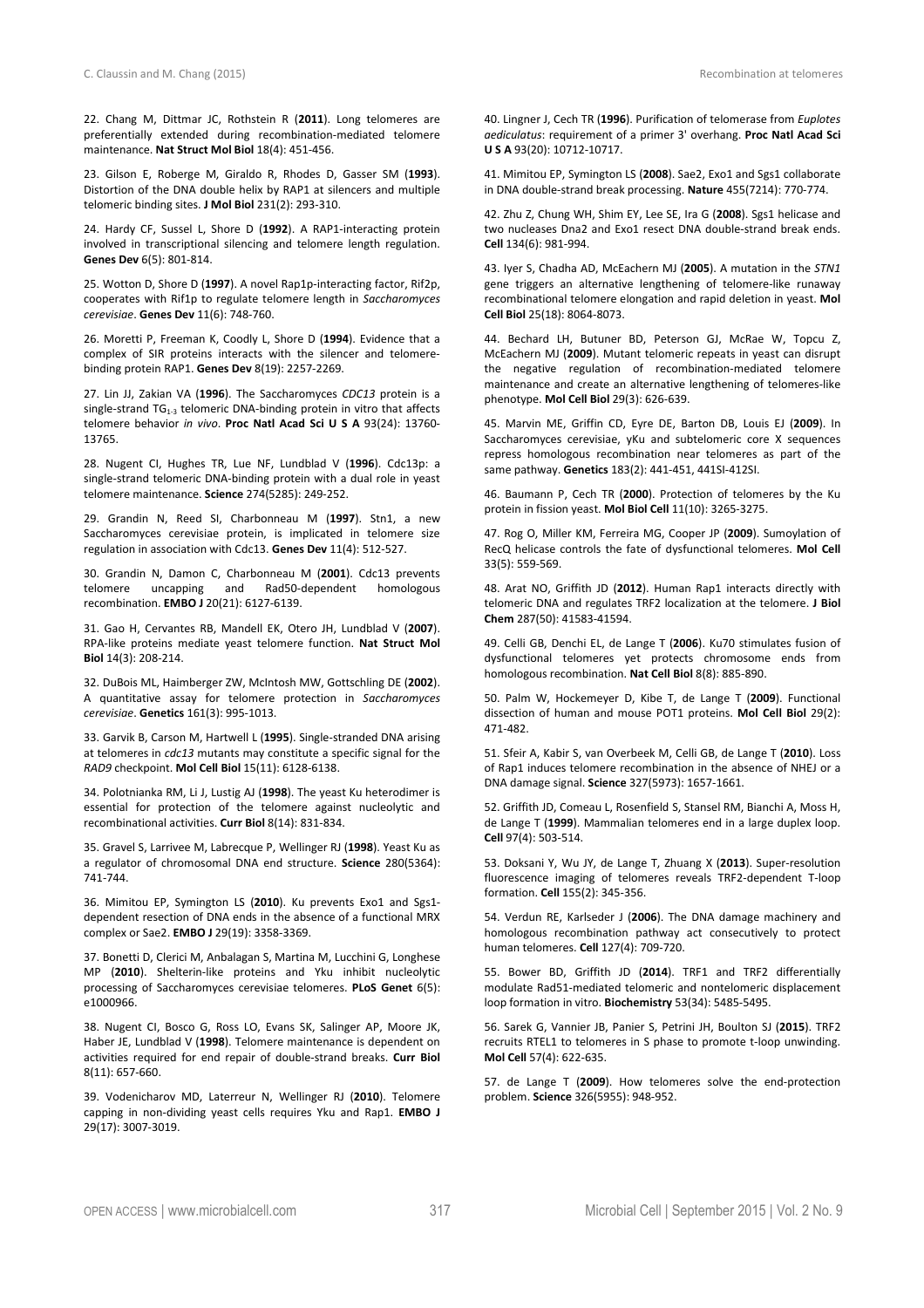22. Chang M, Dittmar JC, Rothstein R (**2011**). Long telomeres are preferentially extended during recombination-mediated telomere maintenance. **Nat Struct Mol Biol** 18(4): 451-456.

23. Gilson E, Roberge M, Giraldo R, Rhodes D, Gasser SM (**1993**). Distortion of the DNA double helix by RAP1 at silencers and multiple telomeric binding sites. **J Mol Biol** 231(2): 293-310.

24. Hardy CF, Sussel L, Shore D (**1992**). A RAP1-interacting protein involved in transcriptional silencing and telomere length regulation. **Genes Dev** 6(5): 801-814.

25. Wotton D, Shore D (**1997**). A novel Rap1p-interacting factor, Rif2p, cooperates with Rif1p to regulate telomere length in *Saccharomyces cerevisiae*. **Genes Dev** 11(6): 748-760.

26. Moretti P, Freeman K, Coodly L, Shore D (**1994**). Evidence that a complex of SIR proteins interacts with the silencer and telomerebinding protein RAP1. **Genes Dev** 8(19): 2257-2269.

27. Lin JJ, Zakian VA (**1996**). The Saccharomyces *CDC13* protein is a single-strand  $TG_{1-3}$  telomeric DNA-binding protein in vitro that affects telomere behavior *in vivo*. **Proc Natl Acad Sci U S A** 93(24): 13760- 13765.

28. Nugent CI, Hughes TR, Lue NF, Lundblad V (**1996**). Cdc13p: a single-strand telomeric DNA-binding protein with a dual role in yeast telomere maintenance. **Science** 274(5285): 249-252.

29. Grandin N, Reed SI, Charbonneau M (**1997**). Stn1, a new Saccharomyces cerevisiae protein, is implicated in telomere size regulation in association with Cdc13. **Genes Dev** 11(4): 512-527.

30. Grandin N, Damon C, Charbonneau M (**2001**). Cdc13 prevents telomere uncapping and Rad50-dependent homologous recombination. **EMBO J** 20(21): 6127-6139.

31. Gao H, Cervantes RB, Mandell EK, Otero JH, Lundblad V (**2007**). RPA-like proteins mediate yeast telomere function. **Nat Struct Mol Biol** 14(3): 208-214.

32. DuBois ML, Haimberger ZW, McIntosh MW, Gottschling DE (**2002**). A quantitative assay for telomere protection in *Saccharomyces cerevisiae*. **Genetics** 161(3): 995-1013.

33. Garvik B, Carson M, Hartwell L (**1995**). Single-stranded DNA arising at telomeres in *cdc13* mutants may constitute a specific signal for the *RAD9* checkpoint. **Mol Cell Biol** 15(11): 6128-6138.

34. Polotnianka RM, Li J, Lustig AJ (**1998**). The yeast Ku heterodimer is essential for protection of the telomere against nucleolytic and recombinational activities. **Curr Biol** 8(14): 831-834.

35. Gravel S, Larrivee M, Labrecque P, Wellinger RJ (**1998**). Yeast Ku as a regulator of chromosomal DNA end structure. **Science** 280(5364): 741-744.

36. Mimitou EP, Symington LS (**2010**). Ku prevents Exo1 and Sgs1 dependent resection of DNA ends in the absence of a functional MRX complex or Sae2. **EMBO J** 29(19): 3358-3369.

37. Bonetti D, Clerici M, Anbalagan S, Martina M, Lucchini G, Longhese MP (**2010**). Shelterin-like proteins and Yku inhibit nucleolytic processing of Saccharomyces cerevisiae telomeres. **PLoS Genet** 6(5): e1000966.

38. Nugent CI, Bosco G, Ross LO, Evans SK, Salinger AP, Moore JK, Haber JE, Lundblad V (**1998**). Telomere maintenance is dependent on activities required for end repair of double-strand breaks. **Curr Biol** 8(11): 657-660.

39. Vodenicharov MD, Laterreur N, Wellinger RJ (**2010**). Telomere capping in non-dividing yeast cells requires Yku and Rap1. **EMBO J** 29(17): 3007-3019.

40. Lingner J, Cech TR (**1996**). Purification of telomerase from *Euplotes aediculatus*: requirement of a primer 3' overhang. **Proc Natl Acad Sci U S A** 93(20): 10712-10717.

41. Mimitou EP, Symington LS (**2008**). Sae2, Exo1 and Sgs1 collaborate in DNA double-strand break processing. **Nature** 455(7214): 770-774.

42. Zhu Z, Chung WH, Shim EY, Lee SE, Ira G (**2008**). Sgs1 helicase and two nucleases Dna2 and Exo1 resect DNA double-strand break ends. **Cell** 134(6): 981-994.

43. Iyer S, Chadha AD, McEachern MJ (**2005**). A mutation in the *STN1* gene triggers an alternative lengthening of telomere-like runaway recombinational telomere elongation and rapid deletion in yeast. **Mol Cell Biol** 25(18): 8064-8073.

44. Bechard LH, Butuner BD, Peterson GJ, McRae W, Topcu Z, McEachern MJ (**2009**). Mutant telomeric repeats in yeast can disrupt the negative regulation of recombination-mediated telomere maintenance and create an alternative lengthening of telomeres-like phenotype. **Mol Cell Biol** 29(3): 626-639.

45. Marvin ME, Griffin CD, Eyre DE, Barton DB, Louis EJ (**2009**). In Saccharomyces cerevisiae, yKu and subtelomeric core X sequences repress homologous recombination near telomeres as part of the same pathway. **Genetics** 183(2): 441-451, 441SI-412SI.

46. Baumann P, Cech TR (**2000**). Protection of telomeres by the Ku protein in fission yeast. **Mol Biol Cell** 11(10): 3265-3275.

47. Rog O, Miller KM, Ferreira MG, Cooper JP (**2009**). Sumoylation of RecQ helicase controls the fate of dysfunctional telomeres. **Mol Cell** 33(5): 559-569.

48. Arat NO, Griffith JD (**2012**). Human Rap1 interacts directly with telomeric DNA and regulates TRF2 localization at the telomere. **J Biol Chem** 287(50): 41583-41594.

49. Celli GB, Denchi EL, de Lange T (**2006**). Ku70 stimulates fusion of dysfunctional telomeres yet protects chromosome ends from homologous recombination. **Nat Cell Biol** 8(8): 885-890.

50. Palm W, Hockemeyer D, Kibe T, de Lange T (**2009**). Functional dissection of human and mouse POT1 proteins. **Mol Cell Biol** 29(2): 471-482.

51. Sfeir A, Kabir S, van Overbeek M, Celli GB, de Lange T (**2010**). Loss of Rap1 induces telomere recombination in the absence of NHEJ or a DNA damage signal. **Science** 327(5973): 1657-1661.

52. Griffith JD, Comeau L, Rosenfield S, Stansel RM, Bianchi A, Moss H, de Lange T (**1999**). Mammalian telomeres end in a large duplex loop. **Cell** 97(4): 503-514.

53. Doksani Y, Wu JY, de Lange T, Zhuang X (**2013**). Super-resolution fluorescence imaging of telomeres reveals TRF2-dependent T-loop formation. **Cell** 155(2): 345-356.

54. Verdun RE, Karlseder J (**2006**). The DNA damage machinery and homologous recombination pathway act consecutively to protect human telomeres. **Cell** 127(4): 709-720.

55. Bower BD, Griffith JD (**2014**). TRF1 and TRF2 differentially modulate Rad51-mediated telomeric and nontelomeric displacement loop formation in vitro. **Biochemistry** 53(34): 5485-5495.

56. Sarek G, Vannier JB, Panier S, Petrini JH, Boulton SJ (**2015**). TRF2 recruits RTEL1 to telomeres in S phase to promote t-loop unwinding. **Mol Cell** 57(4): 622-635.

57. de Lange T (**2009**). How telomeres solve the end-protection problem. **Science** 326(5955): 948-952.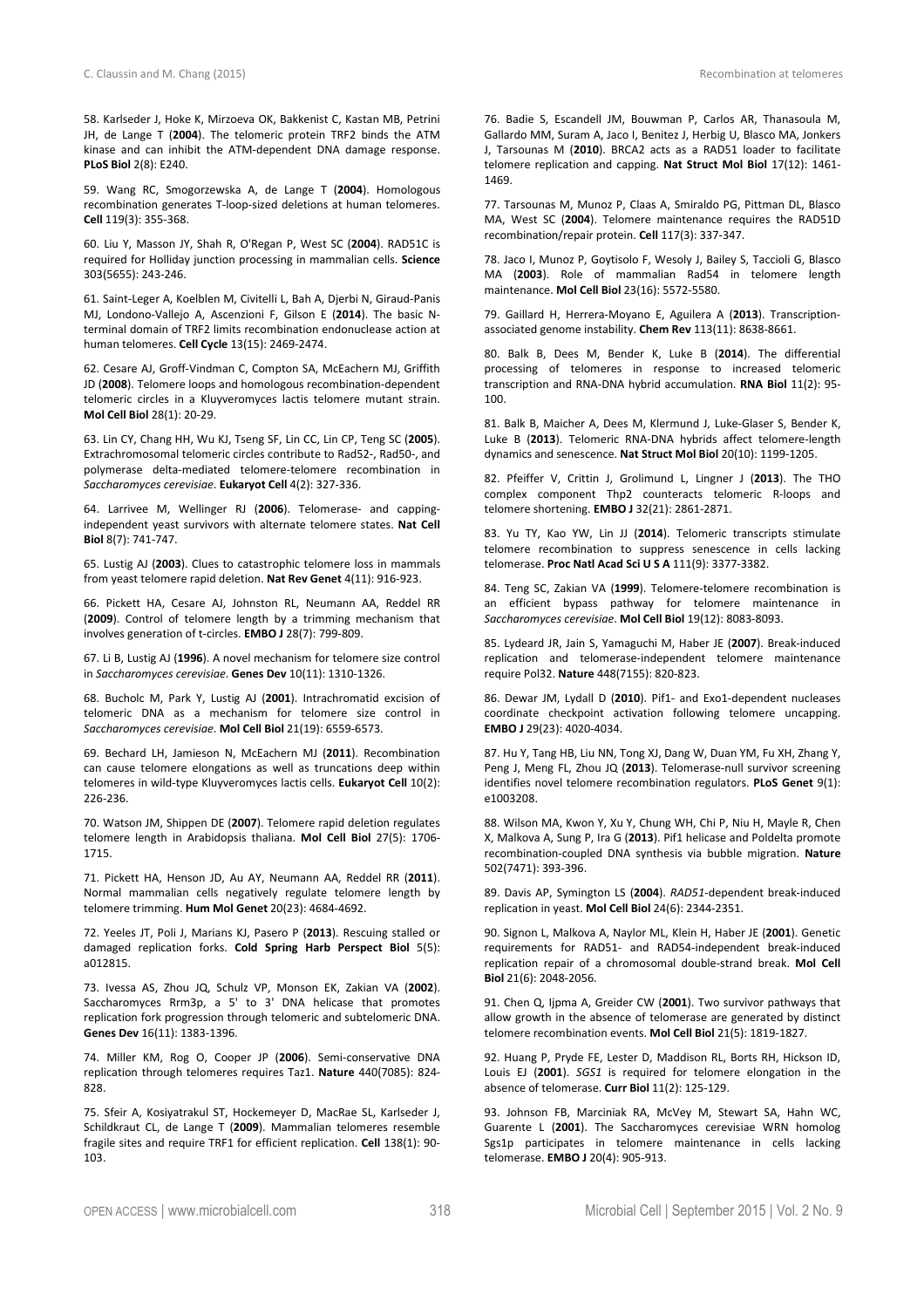58. Karlseder J, Hoke K, Mirzoeva OK, Bakkenist C, Kastan MB, Petrini JH, de Lange T (**2004**). The telomeric protein TRF2 binds the ATM kinase and can inhibit the ATM-dependent DNA damage response. **PLoS Biol** 2(8): E240.

59. Wang RC, Smogorzewska A, de Lange T (**2004**). Homologous recombination generates T-loop-sized deletions at human telomeres. **Cell** 119(3): 355-368.

60. Liu Y, Masson JY, Shah R, O'Regan P, West SC (**2004**). RAD51C is required for Holliday junction processing in mammalian cells. **Science** 303(5655): 243-246.

61. Saint-Leger A, Koelblen M, Civitelli L, Bah A, Djerbi N, Giraud-Panis MJ, Londono-Vallejo A, Ascenzioni F, Gilson E (**2014**). The basic Nterminal domain of TRF2 limits recombination endonuclease action at human telomeres. **Cell Cycle** 13(15): 2469-2474.

62. Cesare AJ, Groff-Vindman C, Compton SA, McEachern MJ, Griffith JD (**2008**). Telomere loops and homologous recombination-dependent telomeric circles in a Kluyveromyces lactis telomere mutant strain. **Mol Cell Biol** 28(1): 20-29.

63. Lin CY, Chang HH, Wu KJ, Tseng SF, Lin CC, Lin CP, Teng SC (**2005**). Extrachromosomal telomeric circles contribute to Rad52-, Rad50-, and polymerase delta-mediated telomere-telomere recombination in *Saccharomyces cerevisiae*. **Eukaryot Cell** 4(2): 327-336.

64. Larrivee M, Wellinger RJ (**2006**). Telomerase- and cappingindependent yeast survivors with alternate telomere states. **Nat Cell Biol** 8(7): 741-747.

65. Lustig AJ (**2003**). Clues to catastrophic telomere loss in mammals from yeast telomere rapid deletion. **Nat Rev Genet** 4(11): 916-923.

66. Pickett HA, Cesare AJ, Johnston RL, Neumann AA, Reddel RR (**2009**). Control of telomere length by a trimming mechanism that involves generation of t-circles. **EMBO J** 28(7): 799-809.

67. Li B, Lustig AJ (**1996**). A novel mechanism for telomere size control in *Saccharomyces cerevisiae*. **Genes Dev** 10(11): 1310-1326.

68. Bucholc M, Park Y, Lustig AJ (**2001**). Intrachromatid excision of telomeric DNA as a mechanism for telomere size control in *Saccharomyces cerevisiae*. **Mol Cell Biol** 21(19): 6559-6573.

69. Bechard LH, Jamieson N, McEachern MJ (**2011**). Recombination can cause telomere elongations as well as truncations deep within telomeres in wild-type Kluyveromyces lactis cells. **Eukaryot Cell** 10(2): 226-236.

70. Watson JM, Shippen DE (**2007**). Telomere rapid deletion regulates telomere length in Arabidopsis thaliana. **Mol Cell Biol** 27(5): 1706- 1715.

71. Pickett HA, Henson JD, Au AY, Neumann AA, Reddel RR (**2011**). Normal mammalian cells negatively regulate telomere length by telomere trimming. **Hum Mol Genet** 20(23): 4684-4692.

72. Yeeles JT, Poli J, Marians KJ, Pasero P (**2013**). Rescuing stalled or damaged replication forks. **Cold Spring Harb Perspect Biol** 5(5): a012815.

73. Ivessa AS, Zhou JQ, Schulz VP, Monson EK, Zakian VA (**2002**). Saccharomyces Rrm3p, a 5' to 3' DNA helicase that promotes replication fork progression through telomeric and subtelomeric DNA. **Genes Dev** 16(11): 1383-1396.

74. Miller KM, Rog O, Cooper JP (**2006**). Semi-conservative DNA replication through telomeres requires Taz1. **Nature** 440(7085): 824- 828.

75. Sfeir A, Kosiyatrakul ST, Hockemeyer D, MacRae SL, Karlseder J, Schildkraut CL, de Lange T (**2009**). Mammalian telomeres resemble fragile sites and require TRF1 for efficient replication. **Cell** 138(1): 90- 103.

76. Badie S, Escandell JM, Bouwman P, Carlos AR, Thanasoula M, Gallardo MM, Suram A, Jaco I, Benitez J, Herbig U, Blasco MA, Jonkers J, Tarsounas M (**2010**). BRCA2 acts as a RAD51 loader to facilitate telomere replication and capping. **Nat Struct Mol Biol** 17(12): 1461- 1469.

77. Tarsounas M, Munoz P, Claas A, Smiraldo PG, Pittman DL, Blasco MA, West SC (**2004**). Telomere maintenance requires the RAD51D recombination/repair protein. **Cell** 117(3): 337-347.

78. Jaco I, Munoz P, Goytisolo F, Wesoly J, Bailey S, Taccioli G, Blasco MA (**2003**). Role of mammalian Rad54 in telomere length maintenance. **Mol Cell Biol** 23(16): 5572-5580.

79. Gaillard H, Herrera-Moyano E, Aguilera A (**2013**). Transcriptionassociated genome instability. **Chem Rev** 113(11): 8638-8661.

80. Balk B, Dees M, Bender K, Luke B (**2014**). The differential processing of telomeres in response to increased telomeric transcription and RNA-DNA hybrid accumulation. **RNA Biol** 11(2): 95- 100.

81. Balk B, Maicher A, Dees M, Klermund J, Luke-Glaser S, Bender K, Luke B (**2013**). Telomeric RNA-DNA hybrids affect telomere-length dynamics and senescence. **Nat Struct Mol Biol** 20(10): 1199-1205.

82. Pfeiffer V, Crittin J, Grolimund L, Lingner J (**2013**). The THO complex component Thp2 counteracts telomeric R-loops and telomere shortening. **EMBO J** 32(21): 2861-2871.

83. Yu TY, Kao YW, Lin JJ (**2014**). Telomeric transcripts stimulate telomere recombination to suppress senescence in cells lacking telomerase. **Proc Natl Acad Sci U S A** 111(9): 3377-3382.

84. Teng SC, Zakian VA (**1999**). Telomere-telomere recombination is an efficient bypass pathway for telomere maintenance in *Saccharomyces cerevisiae*. **Mol Cell Biol** 19(12): 8083-8093.

85. Lydeard JR, Jain S, Yamaguchi M, Haber JE (**2007**). Break-induced replication and telomerase-independent telomere maintenance require Pol32. **Nature** 448(7155): 820-823.

86. Dewar JM, Lydall D (**2010**). Pif1- and Exo1-dependent nucleases coordinate checkpoint activation following telomere uncapping. **EMBO J** 29(23): 4020-4034.

87. Hu Y, Tang HB, Liu NN, Tong XJ, Dang W, Duan YM, Fu XH, Zhang Y, Peng J, Meng FL, Zhou JQ (**2013**). Telomerase-null survivor screening identifies novel telomere recombination regulators. **PLoS Genet** 9(1): e1003208.

88. Wilson MA, Kwon Y, Xu Y, Chung WH, Chi P, Niu H, Mayle R, Chen X, Malkova A, Sung P, Ira G (**2013**). Pif1 helicase and Poldelta promote recombination-coupled DNA synthesis via bubble migration. **Nature** 502(7471): 393-396.

89. Davis AP, Symington LS (**2004**). *RAD51*-dependent break-induced replication in yeast. **Mol Cell Biol** 24(6): 2344-2351.

90. Signon L, Malkova A, Naylor ML, Klein H, Haber JE (**2001**). Genetic requirements for RAD51- and RAD54-independent break-induced replication repair of a chromosomal double-strand break. **Mol Cell Biol** 21(6): 2048-2056.

91. Chen Q, Ijpma A, Greider CW (**2001**). Two survivor pathways that allow growth in the absence of telomerase are generated by distinct telomere recombination events. **Mol Cell Biol** 21(5): 1819-1827.

92. Huang P, Pryde FE, Lester D, Maddison RL, Borts RH, Hickson ID, Louis EJ (**2001**). *SGS1* is required for telomere elongation in the absence of telomerase. **Curr Biol** 11(2): 125-129.

93. Johnson FB, Marciniak RA, McVey M, Stewart SA, Hahn WC, Guarente L (**2001**). The Saccharomyces cerevisiae WRN homolog Sgs1p participates in telomere maintenance in cells lacking telomerase. **EMBO J** 20(4): 905-913.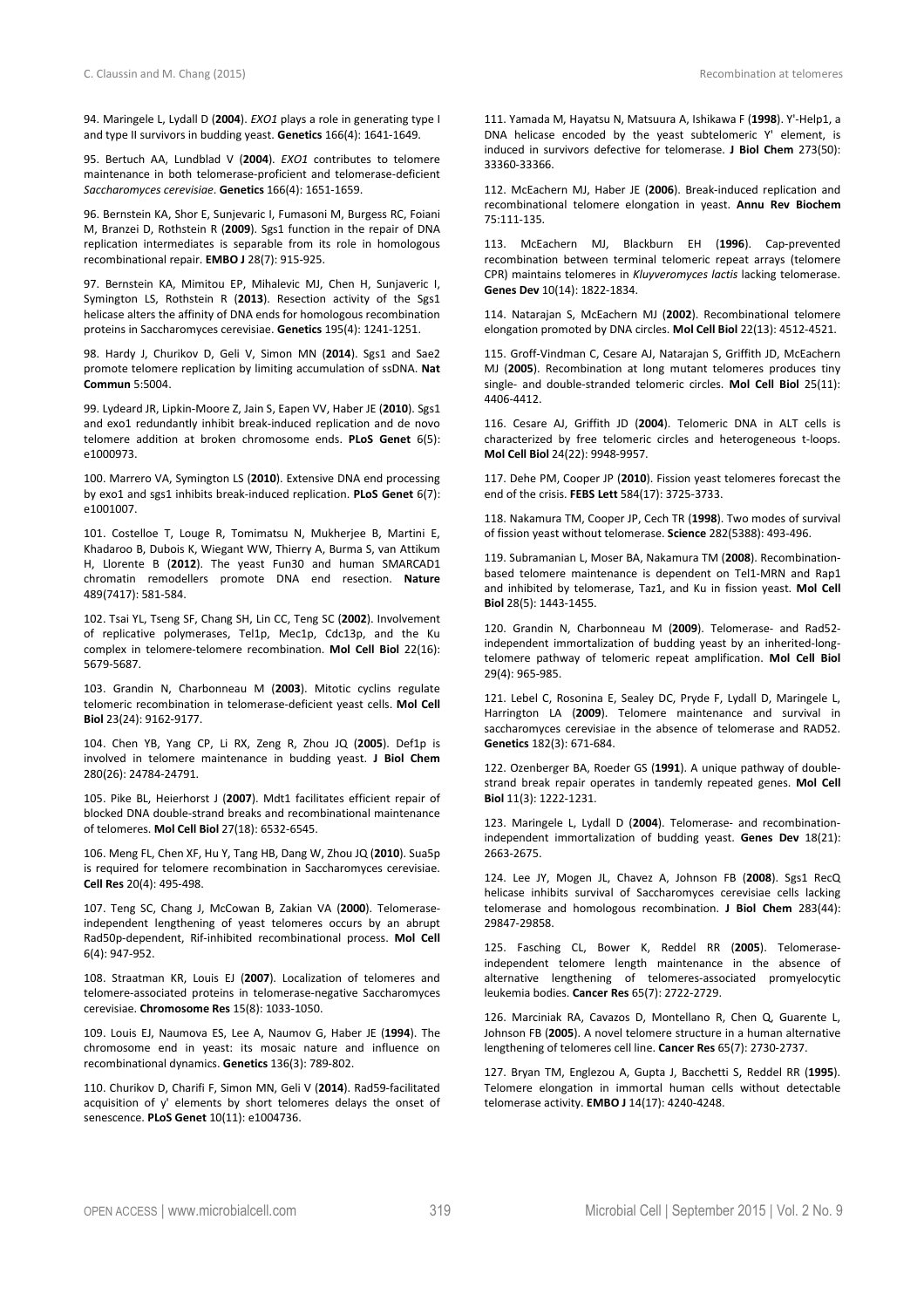94. Maringele L, Lydall D (**2004**). *EXO1* plays a role in generating type I and type II survivors in budding yeast. **Genetics** 166(4): 1641-1649.

95. Bertuch AA, Lundblad V (**2004**). *EXO1* contributes to telomere maintenance in both telomerase-proficient and telomerase-deficient *Saccharomyces cerevisiae*. **Genetics** 166(4): 1651-1659.

96. Bernstein KA, Shor E, Sunjevaric I, Fumasoni M, Burgess RC, Foiani M, Branzei D, Rothstein R (**2009**). Sgs1 function in the repair of DNA replication intermediates is separable from its role in homologous recombinational repair. **EMBO J** 28(7): 915-925.

97. Bernstein KA, Mimitou EP, Mihalevic MJ, Chen H, Sunjaveric I, Symington LS, Rothstein R (**2013**). Resection activity of the Sgs1 helicase alters the affinity of DNA ends for homologous recombination proteins in Saccharomyces cerevisiae. **Genetics** 195(4): 1241-1251.

98. Hardy J, Churikov D, Geli V, Simon MN (**2014**). Sgs1 and Sae2 promote telomere replication by limiting accumulation of ssDNA. **Nat Commun** 5:5004.

99. Lydeard JR, Lipkin-Moore Z, Jain S, Eapen VV, Haber JE (**2010**). Sgs1 and exo1 redundantly inhibit break-induced replication and de novo telomere addition at broken chromosome ends. **PLoS Genet** 6(5): e1000973.

100. Marrero VA, Symington LS (**2010**). Extensive DNA end processing by exo1 and sgs1 inhibits break-induced replication. **PLoS Genet** 6(7): e1001007.

101. Costelloe T, Louge R, Tomimatsu N, Mukherjee B, Martini E, Khadaroo B, Dubois K, Wiegant WW, Thierry A, Burma S, van Attikum H, Llorente B (**2012**). The yeast Fun30 and human SMARCAD1 chromatin remodellers promote DNA end resection. **Nature** 489(7417): 581-584.

102. Tsai YL, Tseng SF, Chang SH, Lin CC, Teng SC (**2002**). Involvement of replicative polymerases, Tel1p, Mec1p, Cdc13p, and the Ku complex in telomere-telomere recombination. **Mol Cell Biol** 22(16): 5679-5687.

103. Grandin N, Charbonneau M (**2003**). Mitotic cyclins regulate telomeric recombination in telomerase-deficient yeast cells. **Mol Cell Biol** 23(24): 9162-9177.

104. Chen YB, Yang CP, Li RX, Zeng R, Zhou JQ (**2005**). Def1p is involved in telomere maintenance in budding yeast. **J Biol Chem** 280(26): 24784-24791.

105. Pike BL, Heierhorst J (**2007**). Mdt1 facilitates efficient repair of blocked DNA double-strand breaks and recombinational maintenance of telomeres. **Mol Cell Biol** 27(18): 6532-6545.

106. Meng FL, Chen XF, Hu Y, Tang HB, Dang W, Zhou JQ (**2010**). Sua5p is required for telomere recombination in Saccharomyces cerevisiae. **Cell Res** 20(4): 495-498.

107. Teng SC, Chang J, McCowan B, Zakian VA (**2000**). Telomeraseindependent lengthening of yeast telomeres occurs by an abrupt Rad50p-dependent, Rif-inhibited recombinational process. **Mol Cell** 6(4): 947-952.

108. Straatman KR, Louis EJ (**2007**). Localization of telomeres and telomere-associated proteins in telomerase-negative Saccharomyces cerevisiae. **Chromosome Res** 15(8): 1033-1050.

109. Louis EJ, Naumova ES, Lee A, Naumov G, Haber JE (**1994**). The chromosome end in yeast: its mosaic nature and influence on recombinational dynamics. **Genetics** 136(3): 789-802.

110. Churikov D, Charifi F, Simon MN, Geli V (**2014**). Rad59-facilitated acquisition of y' elements by short telomeres delays the onset of senescence. **PLoS Genet** 10(11): e1004736.

111. Yamada M, Hayatsu N, Matsuura A, Ishikawa F (**1998**). Y'-Help1, a DNA helicase encoded by the yeast subtelomeric Y' element, is induced in survivors defective for telomerase. **J Biol Chem** 273(50): 33360-33366.

112. McEachern MJ, Haber JE (**2006**). Break-induced replication and recombinational telomere elongation in yeast. **Annu Rev Biochem** 75:111-135.

113. McEachern MJ, Blackburn EH (**1996**). Cap-prevented recombination between terminal telomeric repeat arrays (telomere CPR) maintains telomeres in *Kluyveromyces lactis* lacking telomerase. **Genes Dev** 10(14): 1822-1834.

114. Natarajan S, McEachern MJ (**2002**). Recombinational telomere elongation promoted by DNA circles. **Mol Cell Biol** 22(13): 4512-4521.

115. Groff-Vindman C, Cesare AJ, Natarajan S, Griffith JD, McEachern MJ (**2005**). Recombination at long mutant telomeres produces tiny single- and double-stranded telomeric circles. **Mol Cell Biol** 25(11): 4406-4412.

116. Cesare AJ, Griffith JD (**2004**). Telomeric DNA in ALT cells is characterized by free telomeric circles and heterogeneous t-loops. **Mol Cell Biol** 24(22): 9948-9957.

117. Dehe PM, Cooper JP (**2010**). Fission yeast telomeres forecast the end of the crisis. **FEBS Lett** 584(17): 3725-3733.

118. Nakamura TM, Cooper JP, Cech TR (**1998**). Two modes of survival of fission yeast without telomerase. **Science** 282(5388): 493-496.

119. Subramanian L, Moser BA, Nakamura TM (**2008**). Recombinationbased telomere maintenance is dependent on Tel1-MRN and Rap1 and inhibited by telomerase, Taz1, and Ku in fission yeast. **Mol Cell Biol** 28(5): 1443-1455.

120. Grandin N, Charbonneau M (**2009**). Telomerase- and Rad52 independent immortalization of budding yeast by an inherited-longtelomere pathway of telomeric repeat amplification. **Mol Cell Biol** 29(4): 965-985.

121. Lebel C, Rosonina E, Sealey DC, Pryde F, Lydall D, Maringele L, Harrington LA (**2009**). Telomere maintenance and survival in saccharomyces cerevisiae in the absence of telomerase and RAD52. **Genetics** 182(3): 671-684.

122. Ozenberger BA, Roeder GS (**1991**). A unique pathway of doublestrand break repair operates in tandemly repeated genes. **Mol Cell Biol** 11(3): 1222-1231.

123. Maringele L, Lydall D (**2004**). Telomerase- and recombinationindependent immortalization of budding yeast. **Genes Dev** 18(21): 2663-2675.

124. Lee JY, Mogen JL, Chavez A, Johnson FB (**2008**). Sgs1 RecQ helicase inhibits survival of Saccharomyces cerevisiae cells lacking telomerase and homologous recombination. **J Biol Chem** 283(44): 29847-29858.

125. Fasching CL, Bower K, Reddel RR (**2005**). Telomeraseindependent telomere length maintenance in the absence of alternative lengthening of telomeres-associated promyelocytic leukemia bodies. **Cancer Res** 65(7): 2722-2729.

126. Marciniak RA, Cavazos D, Montellano R, Chen Q, Guarente L, Johnson FB (**2005**). A novel telomere structure in a human alternative lengthening of telomeres cell line. **Cancer Res** 65(7): 2730-2737.

127. Bryan TM, Englezou A, Gupta J, Bacchetti S, Reddel RR (**1995**). Telomere elongation in immortal human cells without detectable telomerase activity. **EMBO J** 14(17): 4240-4248.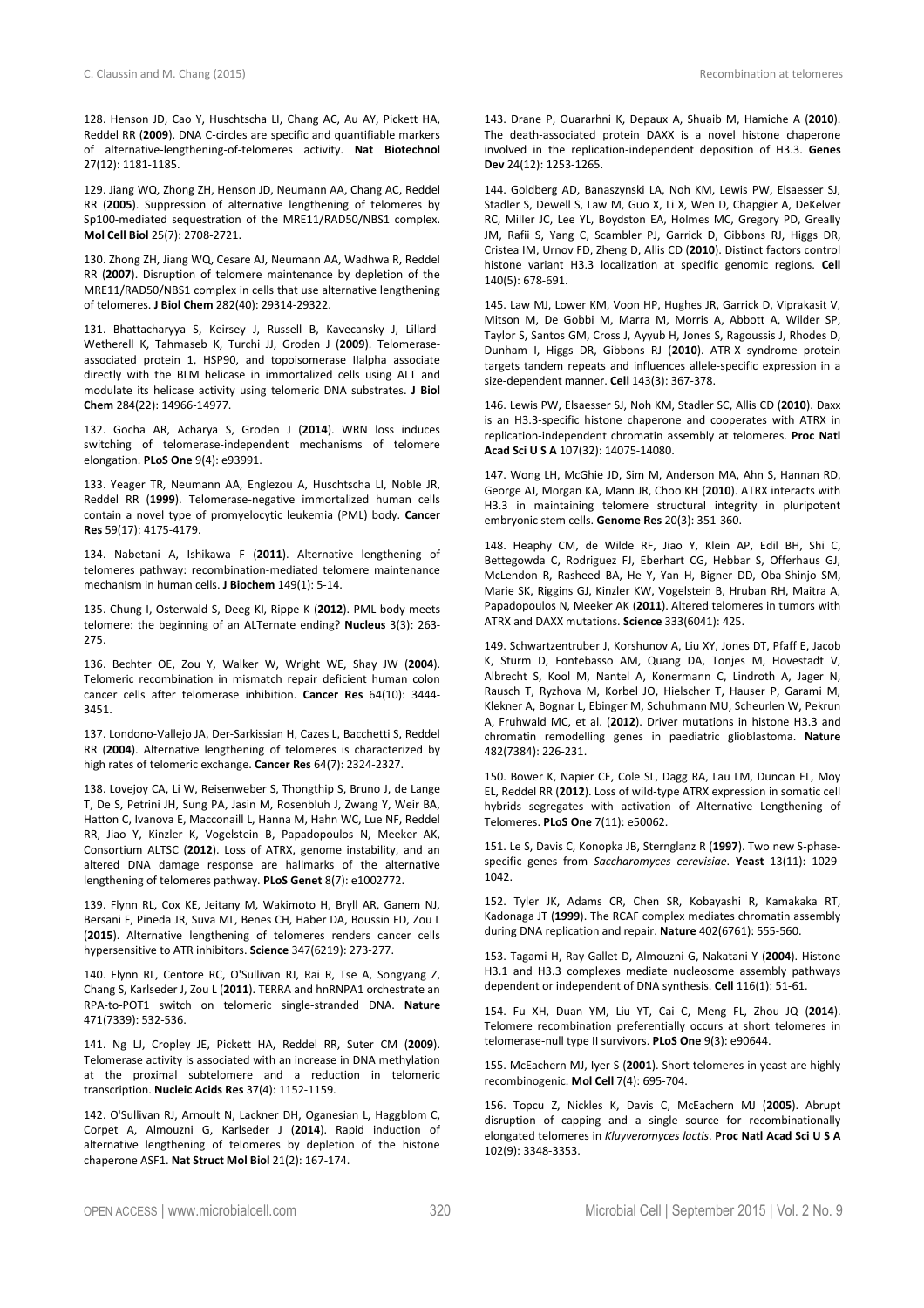128. Henson JD, Cao Y, Huschtscha LI, Chang AC, Au AY, Pickett HA, Reddel RR (**2009**). DNA C-circles are specific and quantifiable markers of alternative-lengthening-of-telomeres activity. **Nat Biotechnol** 27(12): 1181-1185.

129. Jiang WQ, Zhong ZH, Henson JD, Neumann AA, Chang AC, Reddel RR (**2005**). Suppression of alternative lengthening of telomeres by Sp100-mediated sequestration of the MRE11/RAD50/NBS1 complex. **Mol Cell Biol** 25(7): 2708-2721.

130. Zhong ZH, Jiang WQ, Cesare AJ, Neumann AA, Wadhwa R, Reddel RR (**2007**). Disruption of telomere maintenance by depletion of the MRE11/RAD50/NBS1 complex in cells that use alternative lengthening of telomeres. **J Biol Chem** 282(40): 29314-29322.

131. Bhattacharyya S, Keirsey J, Russell B, Kavecansky J, Lillard-Wetherell K, Tahmaseb K, Turchi JJ, Groden J (**2009**). Telomeraseassociated protein 1, HSP90, and topoisomerase IIalpha associate directly with the BLM helicase in immortalized cells using ALT and modulate its helicase activity using telomeric DNA substrates. **J Biol Chem** 284(22): 14966-14977.

132. Gocha AR, Acharya S, Groden J (**2014**). WRN loss induces switching of telomerase-independent mechanisms of telomere elongation. **PLoS One** 9(4): e93991.

133. Yeager TR, Neumann AA, Englezou A, Huschtscha LI, Noble JR, Reddel RR (**1999**). Telomerase-negative immortalized human cells contain a novel type of promyelocytic leukemia (PML) body. **Cancer Res** 59(17): 4175-4179.

134. Nabetani A, Ishikawa F (**2011**). Alternative lengthening of telomeres pathway: recombination-mediated telomere maintenance mechanism in human cells. **J Biochem** 149(1): 5-14.

135. Chung I, Osterwald S, Deeg KI, Rippe K (**2012**). PML body meets telomere: the beginning of an ALTernate ending? **Nucleus** 3(3): 263- 275.

136. Bechter OE, Zou Y, Walker W, Wright WE, Shay JW (**2004**). Telomeric recombination in mismatch repair deficient human colon cancer cells after telomerase inhibition. **Cancer Res** 64(10): 3444- 3451.

137. Londono-Vallejo JA, Der-Sarkissian H, Cazes L, Bacchetti S, Reddel RR (**2004**). Alternative lengthening of telomeres is characterized by high rates of telomeric exchange. **Cancer Res** 64(7): 2324-2327.

138. Lovejoy CA, Li W, Reisenweber S, Thongthip S, Bruno J, de Lange T, De S, Petrini JH, Sung PA, Jasin M, Rosenbluh J, Zwang Y, Weir BA, Hatton C, Ivanova E, Macconaill L, Hanna M, Hahn WC, Lue NF, Reddel RR, Jiao Y, Kinzler K, Vogelstein B, Papadopoulos N, Meeker AK, Consortium ALTSC (**2012**). Loss of ATRX, genome instability, and an altered DNA damage response are hallmarks of the alternative lengthening of telomeres pathway. **PLoS Genet** 8(7): e1002772.

139. Flynn RL, Cox KE, Jeitany M, Wakimoto H, Bryll AR, Ganem NJ, Bersani F, Pineda JR, Suva ML, Benes CH, Haber DA, Boussin FD, Zou L (**2015**). Alternative lengthening of telomeres renders cancer cells hypersensitive to ATR inhibitors. **Science** 347(6219): 273-277.

140. Flynn RL, Centore RC, O'Sullivan RJ, Rai R, Tse A, Songyang Z, Chang S, Karlseder J, Zou L (**2011**). TERRA and hnRNPA1 orchestrate an RPA-to-POT1 switch on telomeric single-stranded DNA. **Nature** 471(7339): 532-536.

141. Ng LJ, Cropley JE, Pickett HA, Reddel RR, Suter CM (**2009**). Telomerase activity is associated with an increase in DNA methylation at the proximal subtelomere and a reduction in telomeric transcription. **Nucleic Acids Res** 37(4): 1152-1159.

142. O'Sullivan RJ, Arnoult N, Lackner DH, Oganesian L, Haggblom C, Corpet A, Almouzni G, Karlseder J (**2014**). Rapid induction of alternative lengthening of telomeres by depletion of the histone chaperone ASF1. **Nat Struct Mol Biol** 21(2): 167-174.

143. Drane P, Ouararhni K, Depaux A, Shuaib M, Hamiche A (**2010**). The death-associated protein DAXX is a novel histone chaperone involved in the replication-independent deposition of H3.3. **Genes Dev** 24(12): 1253-1265.

144. Goldberg AD, Banaszynski LA, Noh KM, Lewis PW, Elsaesser SJ, Stadler S, Dewell S, Law M, Guo X, Li X, Wen D, Chapgier A, DeKelver RC, Miller JC, Lee YL, Boydston EA, Holmes MC, Gregory PD, Greally JM, Rafii S, Yang C, Scambler PJ, Garrick D, Gibbons RJ, Higgs DR, Cristea IM, Urnov FD, Zheng D, Allis CD (**2010**). Distinct factors control histone variant H3.3 localization at specific genomic regions. **Cell** 140(5): 678-691.

145. Law MJ, Lower KM, Voon HP, Hughes JR, Garrick D, Viprakasit V, Mitson M, De Gobbi M, Marra M, Morris A, Abbott A, Wilder SP, Taylor S, Santos GM, Cross J, Ayyub H, Jones S, Ragoussis J, Rhodes D, Dunham I, Higgs DR, Gibbons RJ (**2010**). ATR-X syndrome protein targets tandem repeats and influences allele-specific expression in a size-dependent manner. **Cell** 143(3): 367-378.

146. Lewis PW, Elsaesser SJ, Noh KM, Stadler SC, Allis CD (**2010**). Daxx is an H3.3-specific histone chaperone and cooperates with ATRX in replication-independent chromatin assembly at telomeres. **Proc Natl Acad Sci U S A** 107(32): 14075-14080.

147. Wong LH, McGhie JD, Sim M, Anderson MA, Ahn S, Hannan RD, George AJ, Morgan KA, Mann JR, Choo KH (**2010**). ATRX interacts with H3.3 in maintaining telomere structural integrity in pluripotent embryonic stem cells. **Genome Res** 20(3): 351-360.

148. Heaphy CM, de Wilde RF, Jiao Y, Klein AP, Edil BH, Shi C, Bettegowda C, Rodriguez FJ, Eberhart CG, Hebbar S, Offerhaus GJ, McLendon R, Rasheed BA, He Y, Yan H, Bigner DD, Oba-Shinjo SM, Marie SK, Riggins GJ, Kinzler KW, Vogelstein B, Hruban RH, Maitra A, Papadopoulos N, Meeker AK (**2011**). Altered telomeres in tumors with ATRX and DAXX mutations. **Science** 333(6041): 425.

149. Schwartzentruber J, Korshunov A, Liu XY, Jones DT, Pfaff E, Jacob K, Sturm D, Fontebasso AM, Quang DA, Tonjes M, Hovestadt V, Albrecht S, Kool M, Nantel A, Konermann C, Lindroth A, Jager N, Rausch T, Ryzhova M, Korbel JO, Hielscher T, Hauser P, Garami M, Klekner A, Bognar L, Ebinger M, Schuhmann MU, Scheurlen W, Pekrun A, Fruhwald MC, et al. (**2012**). Driver mutations in histone H3.3 and chromatin remodelling genes in paediatric glioblastoma. **Nature** 482(7384): 226-231.

150. Bower K, Napier CE, Cole SL, Dagg RA, Lau LM, Duncan EL, Moy EL, Reddel RR (**2012**). Loss of wild-type ATRX expression in somatic cell hybrids segregates with activation of Alternative Lengthening of Telomeres. **PLoS One** 7(11): e50062.

151. Le S, Davis C, Konopka JB, Sternglanz R (**1997**). Two new S-phasespecific genes from *Saccharomyces cerevisiae*. **Yeast** 13(11): 1029- 1042.

152. Tyler JK, Adams CR, Chen SR, Kobayashi R, Kamakaka RT, Kadonaga JT (**1999**). The RCAF complex mediates chromatin assembly during DNA replication and repair. **Nature** 402(6761): 555-560.

153. Tagami H, Ray-Gallet D, Almouzni G, Nakatani Y (**2004**). Histone H3.1 and H3.3 complexes mediate nucleosome assembly pathways dependent or independent of DNA synthesis. **Cell** 116(1): 51-61.

154. Fu XH, Duan YM, Liu YT, Cai C, Meng FL, Zhou JQ (**2014**). Telomere recombination preferentially occurs at short telomeres in telomerase-null type II survivors. **PLoS One** 9(3): e90644.

155. McEachern MJ, Iyer S (**2001**). Short telomeres in yeast are highly recombinogenic. **Mol Cell** 7(4): 695-704.

156. Topcu Z, Nickles K, Davis C, McEachern MJ (**2005**). Abrupt disruption of capping and a single source for recombinationally elongated telomeres in *Kluyveromyces lactis*. **Proc Natl Acad Sci U S A** 102(9): 3348-3353.